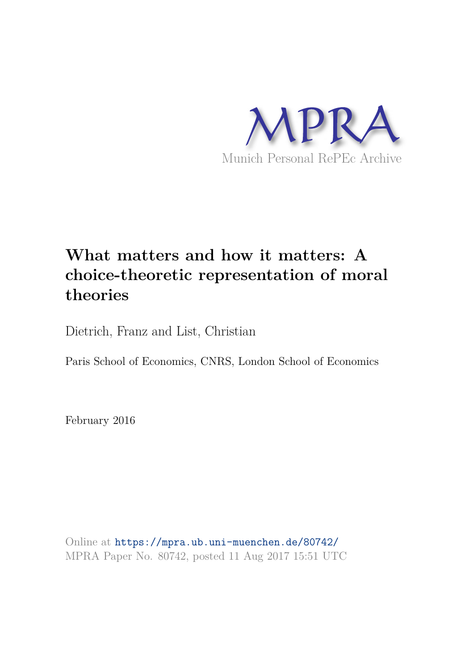

# **What matters and how it matters: A choice-theoretic representation of moral theories**

Dietrich, Franz and List, Christian

Paris School of Economics, CNRS, London School of Economics

February 2016

Online at https://mpra.ub.uni-muenchen.de/80742/ MPRA Paper No. 80742, posted 11 Aug 2017 15:51 UTC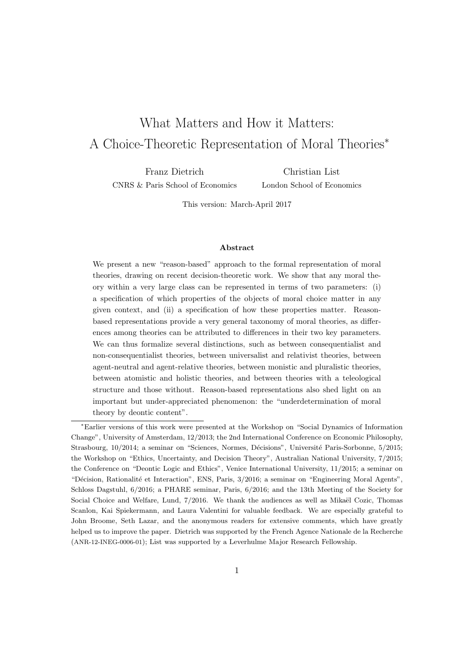# What Matters and How it Matters: A Choice-Theoretic Representation of Moral Theories<sup>\*</sup>

Franz Dietrich CNRS & Paris School of Economics

Christian List London School of Economics

This version: March-April 2017

#### Abstract

We present a new "reason-based" approach to the formal representation of moral theories, drawing on recent decision-theoretic work. We show that any moral theory within a very large class can be represented in terms of two parameters: (i) a specification of which properties of the objects of moral choice matter in any given context, and (ii) a specification of how these properties matter. Reasonbased representations provide a very general taxonomy of moral theories, as differences among theories can be attributed to differences in their two key parameters. We can thus formalize several distinctions, such as between consequentialist and non-consequentialist theories, between universalist and relativist theories, between agent-neutral and agent-relative theories, between monistic and pluralistic theories, between atomistic and holistic theories, and between theories with a teleological structure and those without. Reason-based representations also shed light on an important but under-appreciated phenomenon: the "underdetermination of moral theory by deontic content".

<sup>⇤</sup>Earlier versions of this work were presented at the Workshop on "Social Dynamics of Information Change", University of Amsterdam, 12/2013; the 2nd International Conference on Economic Philosophy, Strasbourg, 10/2014; a seminar on "Sciences, Normes, Décisions", Université Paris-Sorbonne, 5/2015; the Workshop on "Ethics, Uncertainty, and Decision Theory", Australian National University, 7/2015; the Conference on "Deontic Logic and Ethics", Venice International University, 11/2015; a seminar on "Décision, Rationalité et Interaction", ENS, Paris, 3/2016; a seminar on "Engineering Moral Agents", Schloss Dagstuhl, 6/2016; a PHARE seminar, Paris, 6/2016; and the 13th Meeting of the Society for Social Choice and Welfare, Lund, 7/2016. We thank the audiences as well as Mikaël Cozic, Thomas Scanlon, Kai Spiekermann, and Laura Valentini for valuable feedback. We are especially grateful to John Broome, Seth Lazar, and the anonymous readers for extensive comments, which have greatly helped us to improve the paper. Dietrich was supported by the French Agence Nationale de la Recherche (ANR-12-INEG-0006-01); List was supported by a Leverhulme Major Research Fellowship.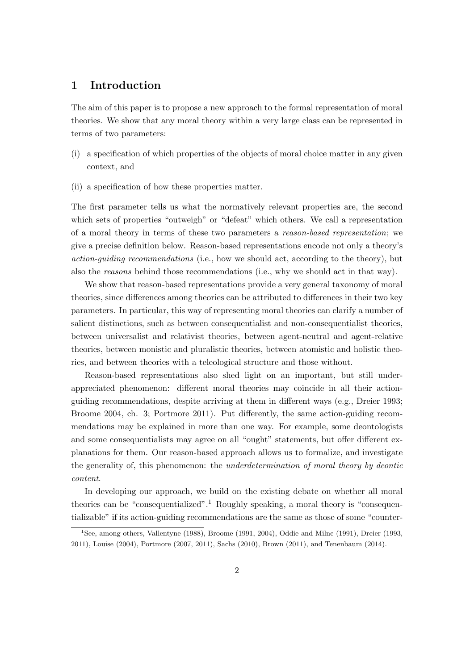### 1 Introduction

The aim of this paper is to propose a new approach to the formal representation of moral theories. We show that any moral theory within a very large class can be represented in terms of two parameters:

- (i) a specification of which properties of the objects of moral choice matter in any given context, and
- (ii) a specification of how these properties matter.

The first parameter tells us what the normatively relevant properties are, the second which sets of properties "outweigh" or "defeat" which others. We call a representation of a moral theory in terms of these two parameters a *reason-based representation*; we give a precise definition below. Reason-based representations encode not only a theory's *action-guiding recommendations* (i.e., how we should act, according to the theory), but also the *reasons* behind those recommendations (i.e., why we should act in that way).

We show that reason-based representations provide a very general taxonomy of moral theories, since differences among theories can be attributed to differences in their two key parameters. In particular, this way of representing moral theories can clarify a number of salient distinctions, such as between consequentialist and non-consequentialist theories, between universalist and relativist theories, between agent-neutral and agent-relative theories, between monistic and pluralistic theories, between atomistic and holistic theories, and between theories with a teleological structure and those without.

Reason-based representations also shed light on an important, but still underappreciated phenomenon: different moral theories may coincide in all their actionguiding recommendations, despite arriving at them in different ways (e.g., Dreier 1993; Broome 2004, ch. 3; Portmore 2011). Put differently, the same action-guiding recommendations may be explained in more than one way. For example, some deontologists and some consequentialists may agree on all "ought" statements, but offer different explanations for them. Our reason-based approach allows us to formalize, and investigate the generality of, this phenomenon: the *underdetermination of moral theory by deontic content*.

In developing our approach, we build on the existing debate on whether all moral theories can be "consequentialized".<sup>1</sup> Roughly speaking, a moral theory is "consequentializable" if its action-guiding recommendations are the same as those of some "counter-

<sup>1</sup>See, among others, Vallentyne (1988), Broome (1991, 2004), Oddie and Milne (1991), Dreier (1993, 2011), Louise (2004), Portmore (2007, 2011), Sachs (2010), Brown (2011), and Tenenbaum (2014).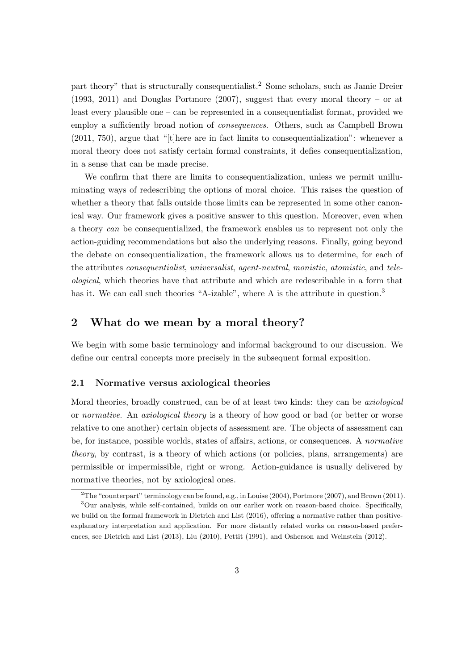part theory" that is structurally consequentialist.<sup>2</sup> Some scholars, such as Jamie Dreier (1993, 2011) and Douglas Portmore (2007), suggest that every moral theory – or at least every plausible one – can be represented in a consequentialist format, provided we employ a sufficiently broad notion of *consequences*. Others, such as Campbell Brown (2011, 750), argue that "[t]here are in fact limits to consequentialization": whenever a moral theory does not satisfy certain formal constraints, it defies consequentialization, in a sense that can be made precise.

We confirm that there are limits to consequentialization, unless we permit unilluminating ways of redescribing the options of moral choice. This raises the question of whether a theory that falls outside those limits can be represented in some other canonical way. Our framework gives a positive answer to this question. Moreover, even when a theory *can* be consequentialized, the framework enables us to represent not only the action-guiding recommendations but also the underlying reasons. Finally, going beyond the debate on consequentialization, the framework allows us to determine, for each of the attributes *consequentialist*, *universalist*, *agent-neutral*, *monistic*, *atomistic*, and *teleological*, which theories have that attribute and which are redescribable in a form that has it. We can call such theories "A-izable", where A is the attribute in question.<sup>3</sup>

### 2 What do we mean by a moral theory?

We begin with some basic terminology and informal background to our discussion. We define our central concepts more precisely in the subsequent formal exposition.

### 2.1 Normative versus axiological theories

Moral theories, broadly construed, can be of at least two kinds: they can be *axiological* or *normative*. An *axiological theory* is a theory of how good or bad (or better or worse relative to one another) certain objects of assessment are. The objects of assessment can be, for instance, possible worlds, states of affairs, actions, or consequences. A *normative theory*, by contrast, is a theory of which actions (or policies, plans, arrangements) are permissible or impermissible, right or wrong. Action-guidance is usually delivered by normative theories, not by axiological ones.

<sup>&</sup>lt;sup>2</sup>The "counterpart" terminology can be found, e.g., in Louise (2004), Portmore (2007), and Brown (2011). <sup>3</sup>Our analysis, while self-contained, builds on our earlier work on reason-based choice. Specifically, we build on the formal framework in Dietrich and List (2016), offering a normative rather than positive-

explanatory interpretation and application. For more distantly related works on reason-based preferences, see Dietrich and List (2013), Liu (2010), Pettit (1991), and Osherson and Weinstein (2012).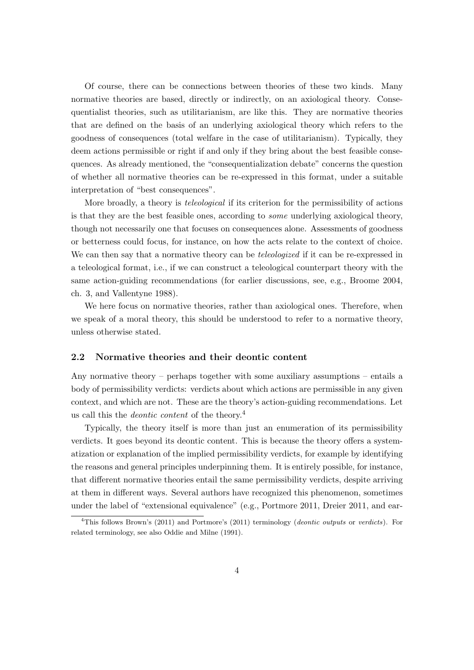Of course, there can be connections between theories of these two kinds. Many normative theories are based, directly or indirectly, on an axiological theory. Consequentialist theories, such as utilitarianism, are like this. They are normative theories that are defined on the basis of an underlying axiological theory which refers to the goodness of consequences (total welfare in the case of utilitarianism). Typically, they deem actions permissible or right if and only if they bring about the best feasible consequences. As already mentioned, the "consequentialization debate" concerns the question of whether all normative theories can be re-expressed in this format, under a suitable interpretation of "best consequences".

More broadly, a theory is *teleological* if its criterion for the permissibility of actions is that they are the best feasible ones, according to *some* underlying axiological theory, though not necessarily one that focuses on consequences alone. Assessments of goodness or betterness could focus, for instance, on how the acts relate to the context of choice. We can then say that a normative theory can be *teleologized* if it can be re-expressed in a teleological format, i.e., if we can construct a teleological counterpart theory with the same action-guiding recommendations (for earlier discussions, see, e.g., Broome 2004, ch. 3, and Vallentyne 1988).

We here focus on normative theories, rather than axiological ones. Therefore, when we speak of a moral theory, this should be understood to refer to a normative theory, unless otherwise stated.

### 2.2 Normative theories and their deontic content

Any normative theory – perhaps together with some auxiliary assumptions – entails a body of permissibility verdicts: verdicts about which actions are permissible in any given context, and which are not. These are the theory's action-guiding recommendations. Let us call this the *deontic content* of the theory.<sup>4</sup>

Typically, the theory itself is more than just an enumeration of its permissibility verdicts. It goes beyond its deontic content. This is because the theory offers a systematization or explanation of the implied permissibility verdicts, for example by identifying the reasons and general principles underpinning them. It is entirely possible, for instance, that different normative theories entail the same permissibility verdicts, despite arriving at them in different ways. Several authors have recognized this phenomenon, sometimes under the label of "extensional equivalence" (e.g., Portmore 2011, Dreier 2011, and ear-

<sup>&</sup>lt;sup>4</sup>This follows Brown's (2011) and Portmore's (2011) terminology (*deontic outputs* or *verdicts*). For related terminology, see also Oddie and Milne (1991).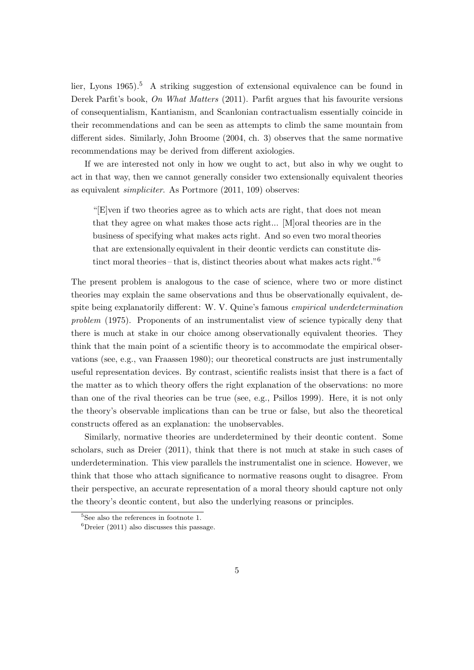lier, Lyons  $1965$ .<sup>5</sup> A striking suggestion of extensional equivalence can be found in Derek Parfit's book, *On What Matters* (2011). Parfit argues that his favourite versions of consequentialism, Kantianism, and Scanlonian contractualism essentially coincide in their recommendations and can be seen as attempts to climb the same mountain from different sides. Similarly, John Broome (2004, ch. 3) observes that the same normative recommendations may be derived from different axiologies.

If we are interested not only in how we ought to act, but also in why we ought to act in that way, then we cannot generally consider two extensionally equivalent theories as equivalent *simpliciter*. As Portmore (2011, 109) observes:

"[E]ven if two theories agree as to which acts are right, that does not mean that they agree on what makes those acts right... [M]oral theories are in the business of specifying what makes acts right. And so even two moral theories that are extensionally equivalent in their deontic verdicts can constitute distinct moral theories – that is, distinct theories about what makes acts right."<sup>6</sup>

The present problem is analogous to the case of science, where two or more distinct theories may explain the same observations and thus be observationally equivalent, despite being explanatorily different: W. V. Quine's famous *empirical underdetermination problem* (1975). Proponents of an instrumentalist view of science typically deny that there is much at stake in our choice among observationally equivalent theories. They think that the main point of a scientific theory is to accommodate the empirical observations (see, e.g., van Fraassen 1980); our theoretical constructs are just instrumentally useful representation devices. By contrast, scientific realists insist that there is a fact of the matter as to which theory offers the right explanation of the observations: no more than one of the rival theories can be true (see, e.g., Psillos 1999). Here, it is not only the theory's observable implications than can be true or false, but also the theoretical constructs offered as an explanation: the unobservables.

Similarly, normative theories are underdetermined by their deontic content. Some scholars, such as Dreier (2011), think that there is not much at stake in such cases of underdetermination. This view parallels the instrumentalist one in science. However, we think that those who attach significance to normative reasons ought to disagree. From their perspective, an accurate representation of a moral theory should capture not only the theory's deontic content, but also the underlying reasons or principles.

<sup>&</sup>lt;sup>5</sup>See also the references in footnote 1.

 ${}^{6}$ Dreier (2011) also discusses this passage.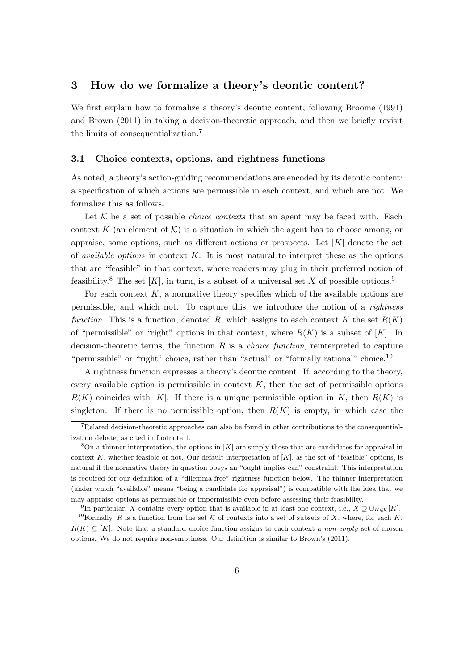### 3 How do we formalize a theory's deontic content?

We first explain how to formalize a theory's deontic content, following Broome (1991) and Brown (2011) in taking a decision-theoretic approach, and then we briefly revisit the limits of consequentialization.<sup>7</sup>

### 3.1 Choice contexts, options, and rightness functions

As noted, a theory's action-guiding recommendations are encoded by its deontic content: a specification of which actions are permissible in each context, and which are not. We formalize this as follows.

Let  $K$  be a set of possible *choice contexts* that an agent may be faced with. Each context K (an element of  $K$ ) is a situation in which the agent has to choose among, or appraise, some options, such as different actions or prospects. Let  $[K]$  denote the set of *available options* in context K. It is most natural to interpret these as the options that are "feasible" in that context, where readers may plug in their preferred notion of feasibility.<sup>8</sup> The set [K], in turn, is a subset of a universal set X of possible options.<sup>9</sup>

For each context  $K$ , a normative theory specifies which of the available options are permissible, and which not. To capture this, we introduce the notion of a *rightness function*. This is a function, denoted R, which assigns to each context K the set  $R(K)$ of "permissible" or "right" options in that context, where  $R(K)$  is a subset of [K]. In decision-theoretic terms, the function R is a *choice function*, reinterpreted to capture "permissible" or "right" choice, rather than "actual" or "formally rational" choice.<sup>10</sup>

A rightness function expresses a theory's deontic content. If, according to the theory, every available option is permissible in context  $K$ , then the set of permissible options  $R(K)$  coincides with [K]. If there is a unique permissible option in K, then  $R(K)$  is singleton. If there is no permissible option, then  $R(K)$  is empty, in which case the

<sup>7</sup>Related decision-theoretic approaches can also be found in other contributions to the consequentialization debate, as cited in footnote 1.

 $8$ On a thinner interpretation, the options in  $[K]$  are simply those that are candidates for appraisal in context K, whether feasible or not. Our default interpretation of  $[K]$ , as the set of "feasible" options, is natural if the normative theory in question obeys an "ought implies can" constraint. This interpretation is required for our definition of a "dilemma-free" rightness function below. The thinner interpretation (under which "available" means "being a candidate for appraisal") is compatible with the idea that we may appraise options as permissible or impermissible even before assessing their feasibility.

<sup>&</sup>lt;sup>9</sup>In particular, X contains every option that is available in at least one context, i.e.,  $X \supseteq \bigcup_{K \in \mathcal{K}} [K]$ . <sup>10</sup>Formally, R is a function from the set K of contexts into a set of subsets of X, where, for each K,  $R(K) \subseteq [K]$ . Note that a standard choice function assigns to each context a non-empty set of chosen options. We do not require non-emptiness. Our definition is similar to Brown's (2011).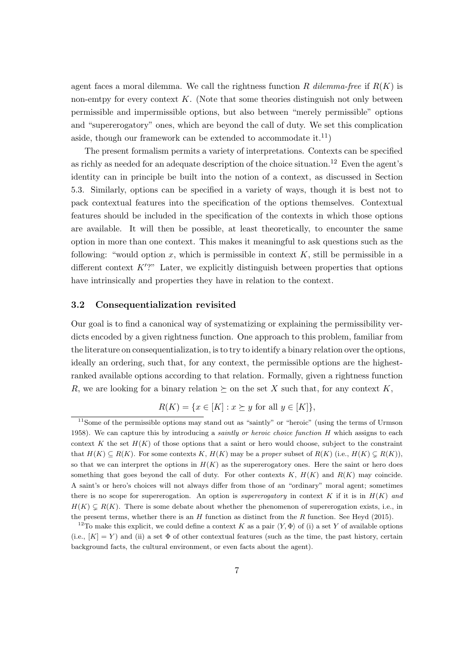agent faces a moral dilemma. We call the rightness function R dilemma-free if  $R(K)$  is non-emtpy for every context  $K$ . (Note that some theories distinguish not only between permissible and impermissible options, but also between "merely permissible" options and "supererogatory" ones, which are beyond the call of duty. We set this complication aside, though our framework can be extended to accommodate it.<sup>11</sup>)

The present formalism permits a variety of interpretations. Contexts can be specified as richly as needed for an adequate description of the choice situation.<sup>12</sup> Even the agent's identity can in principle be built into the notion of a context, as discussed in Section 5.3. Similarly, options can be specified in a variety of ways, though it is best not to pack contextual features into the specification of the options themselves. Contextual features should be included in the specification of the contexts in which those options are available. It will then be possible, at least theoretically, to encounter the same option in more than one context. This makes it meaningful to ask questions such as the following: "would option x, which is permissible in context  $K$ , still be permissible in a different context  $K'$ ?" Later, we explicitly distinguish between properties that options have intrinsically and properties they have in relation to the context.

### 3.2 Consequentialization revisited

Our goal is to find a canonical way of systematizing or explaining the permissibility verdicts encoded by a given rightness function. One approach to this problem, familiar from the literature on consequentialization, is to try to identify a binary relation over the options, ideally an ordering, such that, for any context, the permissible options are the highestranked available options according to that relation. Formally, given a rightness function R, we are looking for a binary relation  $\succeq$  on the set X such that, for any context K,

$$
R(K) = \{ x \in [K] : x \succeq y \text{ for all } y \in [K] \},
$$

<sup>&</sup>lt;sup>11</sup>Some of the permissible options may stand out as "saintly" or "heroic" (using the terms of Urmson 1958). We can capture this by introducing a *saintly or heroic choice function*  $H$  which assigns to each context K the set  $H(K)$  of those options that a saint or hero would choose, subject to the constraint that  $H(K) \subseteq R(K)$ . For some contexts K,  $H(K)$  may be a proper subset of  $R(K)$  (i.e.,  $H(K) \subseteq R(K)$ ), so that we can interpret the options in  $H(K)$  as the supererogatory ones. Here the saint or hero does something that goes beyond the call of duty. For other contexts  $K$ ,  $H(K)$  and  $R(K)$  may coincide. A saint's or hero's choices will not always differ from those of an "ordinary" moral agent; sometimes there is no scope for supererogation. An option is *supererogatory* in context K if it is in  $H(K)$  and  $H(K) \subsetneq R(K)$ . There is some debate about whether the phenomenon of supererogation exists, i.e., in the present terms, whether there is an  $H$  function as distinct from the  $R$  function. See Heyd (2015).

<sup>&</sup>lt;sup>12</sup>To make this explicit, we could define a context K as a pair  $\langle Y, \Phi \rangle$  of (i) a set Y of available options (i.e.,  $[K] = Y$ ) and (ii) a set  $\Phi$  of other contextual features (such as the time, the past history, certain background facts, the cultural environment, or even facts about the agent).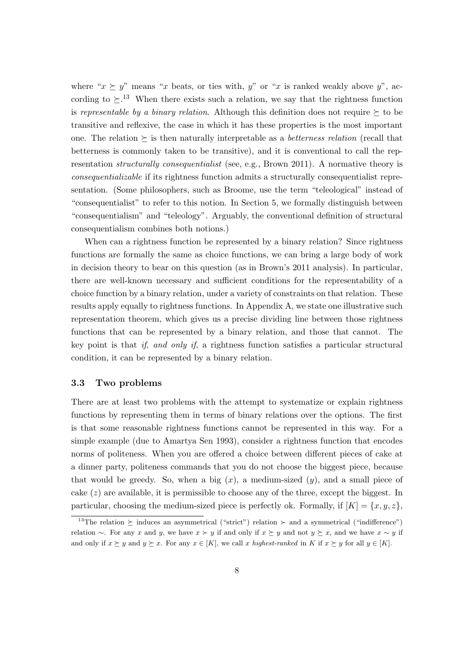where " $x \succeq y$ " means "x beats, or ties with, y" or "x is ranked weakly above y", according to  $\succeq$ .<sup>13</sup> When there exists such a relation, we say that the rightness function is *representable by a binary relation*. Although this definition does not require  $\succeq$  to be transitive and reflexive, the case in which it has these properties is the most important one. The relation  $\succeq$  is then naturally interpretable as a *betterness relation* (recall that betterness is commonly taken to be transitive), and it is conventional to call the representation *structurally consequentialist* (see, e.g., Brown 2011). A normative theory is *consequentializable* if its rightness function admits a structurally consequentialist representation. (Some philosophers, such as Broome, use the term "teleological" instead of "consequentialist" to refer to this notion. In Section 5, we formally distinguish between "consequentialism" and "teleology". Arguably, the conventional definition of structural consequentialism combines both notions.)

When can a rightness function be represented by a binary relation? Since rightness functions are formally the same as choice functions, we can bring a large body of work in decision theory to bear on this question (as in Brown's 2011 analysis). In particular, there are well-known necessary and sufficient conditions for the representability of a choice function by a binary relation, under a variety of constraints on that relation. These results apply equally to rightness functions. In Appendix A, we state one illustrative such representation theorem, which gives us a precise dividing line between those rightness functions that can be represented by a binary relation, and those that cannot. The key point is that *if*, *and only if*, a rightness function satisfies a particular structural condition, it can be represented by a binary relation.

### 3.3 Two problems

There are at least two problems with the attempt to systematize or explain rightness functions by representing them in terms of binary relations over the options. The first is that some reasonable rightness functions cannot be represented in this way. For a simple example (due to Amartya Sen 1993), consider a rightness function that encodes norms of politeness. When you are offered a choice between different pieces of cake at a dinner party, politeness commands that you do not choose the biggest piece, because that would be greedy. So, when a big  $(x)$ , a medium-sized  $(y)$ , and a small piece of cake  $(z)$  are available, it is permissible to choose any of the three, except the biggest. In particular, choosing the medium-sized piece is perfectly ok. Formally, if  $[K] = \{x, y, z\}$ ,

<sup>&</sup>lt;sup>13</sup>The relation  $\succ$  induces an asymmetrical ("strict") relation  $\succ$  and a symmetrical ("indifference") relation  $\sim$ . For any x and y, we have  $x \succ y$  if and only if  $x \succeq y$  and not  $y \succeq x$ , and we have  $x \sim y$  if and only if  $x \succeq y$  and  $y \succeq x$ . For any  $x \in [K]$ , we call x highest-ranked in K if  $x \succeq y$  for all  $y \in [K]$ .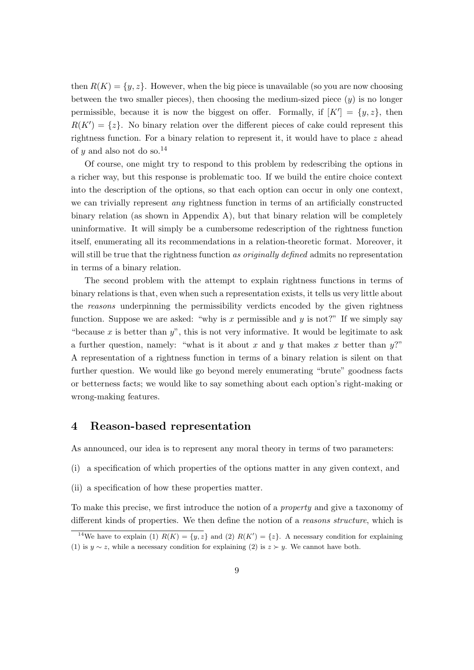then  $R(K) = \{y, z\}$ . However, when the big piece is unavailable (so you are now choosing between the two smaller pieces), then choosing the medium-sized piece  $(y)$  is no longer permissible, because it is now the biggest on offer. Formally, if  $[K'] = \{y, z\}$ , then  $R(K') = \{z\}.$  No binary relation over the different pieces of cake could represent this rightness function. For a binary relation to represent it, it would have to place  $z$  ahead of  $y$  and also not do so.<sup>14</sup>

Of course, one might try to respond to this problem by redescribing the options in a richer way, but this response is problematic too. If we build the entire choice context into the description of the options, so that each option can occur in only one context, we can trivially represent *any* rightness function in terms of an artificially constructed binary relation (as shown in Appendix A), but that binary relation will be completely uninformative. It will simply be a cumbersome redescription of the rightness function itself, enumerating all its recommendations in a relation-theoretic format. Moreover, it will still be true that the rightness function *as originally defined* admits no representation in terms of a binary relation.

The second problem with the attempt to explain rightness functions in terms of binary relations is that, even when such a representation exists, it tells us very little about the *reasons* underpinning the permissibility verdicts encoded by the given rightness function. Suppose we are asked: "why is x permissible and y is not?" If we simply say "because x is better than  $y$ ", this is not very informative. It would be legitimate to ask a further question, namely: "what is it about x and y that makes x better than  $y$ ?" A representation of a rightness function in terms of a binary relation is silent on that further question. We would like go beyond merely enumerating "brute" goodness facts or betterness facts; we would like to say something about each option's right-making or wrong-making features.

### 4 Reason-based representation

As announced, our idea is to represent any moral theory in terms of two parameters:

- (i) a specification of which properties of the options matter in any given context, and
- (ii) a specification of how these properties matter.

To make this precise, we first introduce the notion of a *property* and give a taxonomy of different kinds of properties. We then define the notion of a *reasons structure*, which is

<sup>&</sup>lt;sup>14</sup>We have to explain (1)  $R(K) = \{y, z\}$  and (2)  $R(K') = \{z\}$ . A necessary condition for explaining (1) is  $y \sim z$ , while a necessary condition for explaining (2) is  $z \succ y$ . We cannot have both.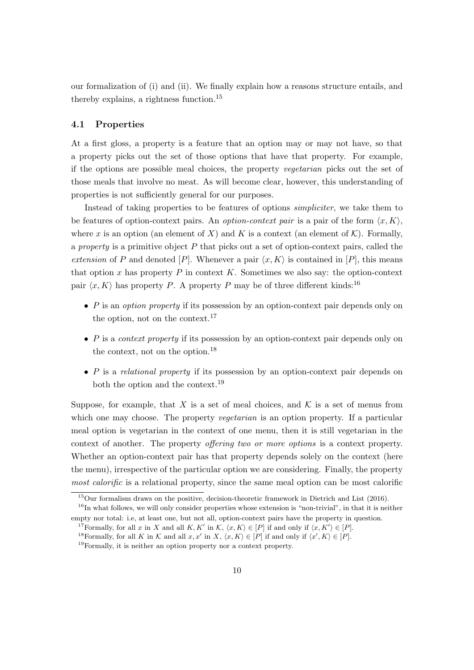our formalization of (i) and (ii). We finally explain how a reasons structure entails, and thereby explains, a rightness function.<sup>15</sup>

### 4.1 Properties

At a first gloss, a property is a feature that an option may or may not have, so that a property picks out the set of those options that have that property. For example, if the options are possible meal choices, the property *vegetarian* picks out the set of those meals that involve no meat. As will become clear, however, this understanding of properties is not sufficiently general for our purposes.

Instead of taking properties to be features of options *simpliciter*, we take them to be features of option-context pairs. An *option-context pair* is a pair of the form  $\langle x, K \rangle$ , where x is an option (an element of X) and K is a context (an element of  $K$ ). Formally, a *property* is a primitive object P that picks out a set of option-context pairs, called the *extension* of P and denoted [P]. Whenever a pair  $\langle x, K \rangle$  is contained in [P], this means that option x has property  $P$  in context  $K$ . Sometimes we also say: the option-context pair  $\langle x, K \rangle$  has property P. A property P may be of three different kinds:<sup>16</sup>

- P is an *option property* if its possession by an option-context pair depends only on the option, not on the context.<sup>17</sup>
- P is a *context property* if its possession by an option-context pair depends only on the context, not on the option.<sup>18</sup>
- P is a *relational property* if its possession by an option-context pair depends on both the option and the context.<sup>19</sup>

Suppose, for example, that X is a set of meal choices, and  $\mathcal K$  is a set of menus from which one may choose. The property *vegetarian* is an option property. If a particular meal option is vegetarian in the context of one menu, then it is still vegetarian in the context of another. The property *o*ff*ering two or more options* is a context property. Whether an option-context pair has that property depends solely on the context (here the menu), irrespective of the particular option we are considering. Finally, the property *most calorific* is a relational property, since the same meal option can be most calorific

 $15$ Our formalism draws on the positive, decision-theoretic framework in Dietrich and List (2016).

<sup>&</sup>lt;sup>16</sup>In what follows, we will only consider properties whose extension is "non-trivial", in that it is neither empty nor total: i.e, at least one, but not all, option-context pairs have the property in question.

<sup>&</sup>lt;sup>17</sup> Formally, for all x in X and all  $K, K'$  in  $\mathcal{K}, \langle x, K \rangle \in [P]$  if and only if  $\langle x, K' \rangle \in [P]$ .

<sup>&</sup>lt;sup>18</sup> Formally, for all K in K and all  $x, x'$  in  $X, \langle x, K \rangle \in [P]$  if and only if  $\langle x', K \rangle \in [P]$ .

<sup>19</sup>Formally, it is neither an option property nor a context property.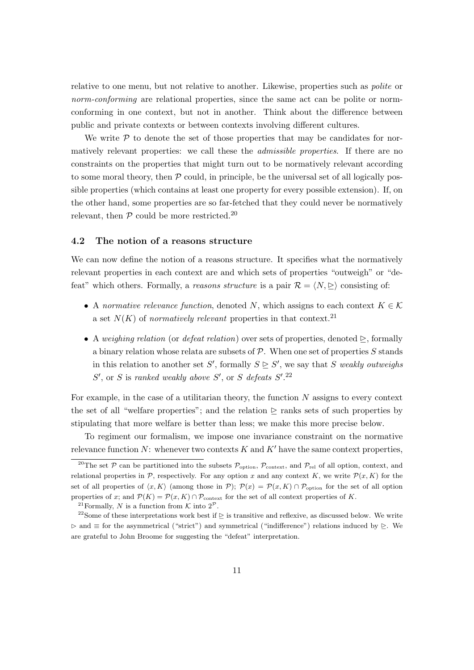relative to one menu, but not relative to another. Likewise, properties such as *polite* or *norm-conforming* are relational properties, since the same act can be polite or normconforming in one context, but not in another. Think about the difference between public and private contexts or between contexts involving different cultures.

We write  $P$  to denote the set of those properties that may be candidates for normatively relevant properties: we call these the *admissible properties*. If there are no constraints on the properties that might turn out to be normatively relevant according to some moral theory, then  $P$  could, in principle, be the universal set of all logically possible properties (which contains at least one property for every possible extension). If, on the other hand, some properties are so far-fetched that they could never be normatively relevant, then  $P$  could be more restricted.<sup>20</sup>

### 4.2 The notion of a reasons structure

We can now define the notion of a reasons structure. It specifies what the normatively relevant properties in each context are and which sets of properties "outweigh" or "defeat" which others. Formally, a *reasons structure* is a pair  $\mathcal{R} = \langle N, \triangleright \rangle$  consisting of:

- A *normative relevance function*, denoted N, which assigns to each context  $K \in \mathcal{K}$ a set  $N(K)$  of *normatively relevant* properties in that context.<sup>21</sup>
- A *weighing relation* (or *defeat relation*) over sets of properties, denoted  $\triangleright$ , formally a binary relation whose relata are subsets of  $P$ . When one set of properties S stands in this relation to another set S', formally  $S \trianglerighteq S'$ , we say that S *weakly outweighs*  $S'$ , or S is *ranked weakly above*  $S'$ , or S *defeats*  $S'$ .<sup>22</sup>

For example, in the case of a utilitarian theory, the function  $N$  assigns to every context the set of all "welfare properties"; and the relation  $\triangleright$  ranks sets of such properties by stipulating that more welfare is better than less; we make this more precise below.

To regiment our formalism, we impose one invariance constraint on the normative relevance function  $N$ : whenever two contexts  $K$  and  $K'$  have the same context properties,

<sup>&</sup>lt;sup>20</sup>The set  $\mathcal P$  can be partitioned into the subsets  $\mathcal P_{\text{option}}$ ,  $\mathcal P_{\text{context}}$ , and  $\mathcal P_{\text{rel}}$  of all option, context, and relational properties in  $P$ , respectively. For any option x and any context K, we write  $P(x, K)$  for the set of all properties of  $\langle x, K \rangle$  (among those in P);  $\mathcal{P}(x) = \mathcal{P}(x, K) \cap \mathcal{P}_{\text{option}}$  for the set of all option properties of x; and  $\mathcal{P}(K) = \mathcal{P}(x, K) \cap \mathcal{P}_{\text{context}}$  for the set of all context properties of K.

<sup>&</sup>lt;sup>21</sup>Formally, N is a function from K into  $2^{\mathcal{P}}$ .

<sup>&</sup>lt;sup>22</sup>Some of these interpretations work best if  $\geq$  is transitive and reflexive, as discussed below. We write  $\triangleright$  and  $\equiv$  for the asymmetrical ("strict") and symmetrical ("indifference") relations induced by  $\triangleright$ . We are grateful to John Broome for suggesting the "defeat" interpretation.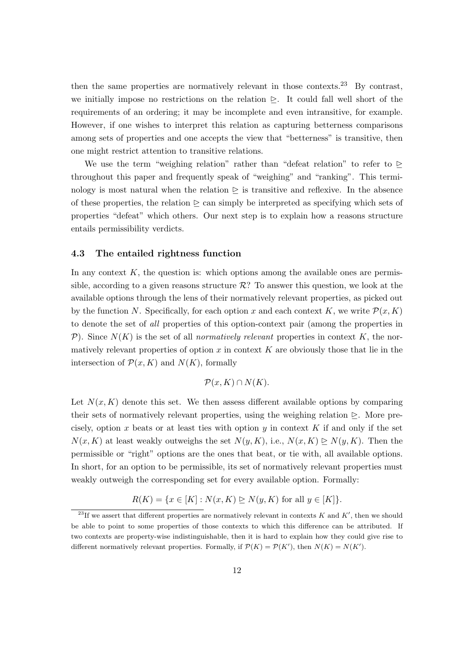then the same properties are normatively relevant in those contexts.<sup>23</sup> By contrast, we initially impose no restrictions on the relation  $\triangleright$ . It could fall well short of the requirements of an ordering; it may be incomplete and even intransitive, for example. However, if one wishes to interpret this relation as capturing betterness comparisons among sets of properties and one accepts the view that "betterness" is transitive, then one might restrict attention to transitive relations.

We use the term "weighing relation" rather than "defeat relation" to refer to  $\geq$ throughout this paper and frequently speak of "weighing" and "ranking". This terminology is most natural when the relation  $\triangleright$  is transitive and reflexive. In the absence of these properties, the relation  $\geq$  can simply be interpreted as specifying which sets of properties "defeat" which others. Our next step is to explain how a reasons structure entails permissibility verdicts.

### 4.3 The entailed rightness function

In any context  $K$ , the question is: which options among the available ones are permissible, according to a given reasons structure  $\mathcal{R}$ ? To answer this question, we look at the available options through the lens of their normatively relevant properties, as picked out by the function N. Specifically, for each option x and each context K, we write  $\mathcal{P}(x, K)$ to denote the set of *all* properties of this option-context pair (among the properties in  $\mathcal{P}$ ). Since  $N(K)$  is the set of all *normatively relevant* properties in context K, the normatively relevant properties of option  $x$  in context  $K$  are obviously those that lie in the intersection of  $\mathcal{P}(x, K)$  and  $N(K)$ , formally

$$
\mathcal{P}(x,K)\cap N(K).
$$

Let  $N(x, K)$  denote this set. We then assess different available options by comparing their sets of normatively relevant properties, using the weighing relation  $\triangleright$ . More precisely, option x beats or at least ties with option y in context  $K$  if and only if the set  $N(x, K)$  at least weakly outweighs the set  $N(y, K)$ , i.e.,  $N(x, K) \triangleright N(y, K)$ . Then the permissible or "right" options are the ones that beat, or tie with, all available options. In short, for an option to be permissible, its set of normatively relevant properties must weakly outweigh the corresponding set for every available option. Formally:

$$
R(K) = \{ x \in [K] : N(x, K) \ge N(y, K) \text{ for all } y \in [K] \}.
$$

<sup>&</sup>lt;sup>23</sup>If we assert that different properties are normatively relevant in contexts K and K', then we should be able to point to some properties of those contexts to which this difference can be attributed. If two contexts are property-wise indistinguishable, then it is hard to explain how they could give rise to different normatively relevant properties. Formally, if  $\mathcal{P}(K) = \mathcal{P}(K')$ , then  $N(K) = N(K')$ .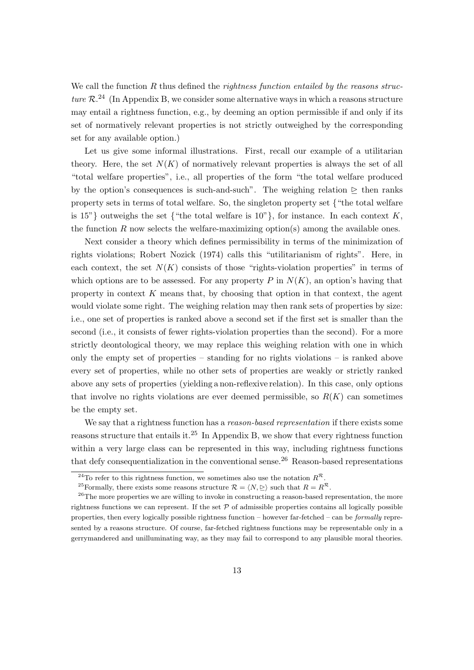We call the function R thus defined the *rightness function entailed by the reasons structure*  $\mathcal{R}^{24}$  (In Appendix B, we consider some alternative ways in which a reasons structure may entail a rightness function, e.g., by deeming an option permissible if and only if its set of normatively relevant properties is not strictly outweighed by the corresponding set for any available option.)

Let us give some informal illustrations. First, recall our example of a utilitarian theory. Here, the set  $N(K)$  of normatively relevant properties is always the set of all "total welfare properties", i.e., all properties of the form "the total welfare produced by the option's consequences is such-and-such". The weighing relation  $\triangleright$  then ranks property sets in terms of total welfare. So, the singleton property set {"the total welfare is 15"} outweighs the set {"the total welfare is 10"}, for instance. In each context K, the function  $R$  now selects the welfare-maximizing option(s) among the available ones.

Next consider a theory which defines permissibility in terms of the minimization of rights violations; Robert Nozick (1974) calls this "utilitarianism of rights". Here, in each context, the set  $N(K)$  consists of those "rights-violation properties" in terms of which options are to be assessed. For any property  $P$  in  $N(K)$ , an option's having that property in context  $K$  means that, by choosing that option in that context, the agent would violate some right. The weighing relation may then rank sets of properties by size: i.e., one set of properties is ranked above a second set if the first set is smaller than the second (i.e., it consists of fewer rights-violation properties than the second). For a more strictly deontological theory, we may replace this weighing relation with one in which only the empty set of properties – standing for no rights violations – is ranked above every set of properties, while no other sets of properties are weakly or strictly ranked above any sets of properties (yielding a non-reflexive relation). In this case, only options that involve no rights violations are ever deemed permissible, so  $R(K)$  can sometimes be the empty set.

We say that a rightness function has a *reason-based representation* if there exists some reasons structure that entails it.<sup>25</sup> In Appendix B, we show that every rightness function within a very large class can be represented in this way, including rightness functions that defy consequentialization in the conventional sense.<sup>26</sup> Reason-based representations

<sup>&</sup>lt;sup>24</sup>To refer to this rightness function, we sometimes also use the notation  $R^R$ .

<sup>&</sup>lt;sup>25</sup> Formally, there exists some reasons structure  $\mathcal{R} = \langle N, \ge \rangle$  such that  $R = R^{\mathcal{R}}$ .

 $26$ The more properties we are willing to invoke in constructing a reason-based representation, the more rightness functions we can represent. If the set  $P$  of admissible properties contains all logically possible properties, then every logically possible rightness function – however far-fetched – can be formally represented by a reasons structure. Of course, far-fetched rightness functions may be representable only in a gerrymandered and unilluminating way, as they may fail to correspond to any plausible moral theories.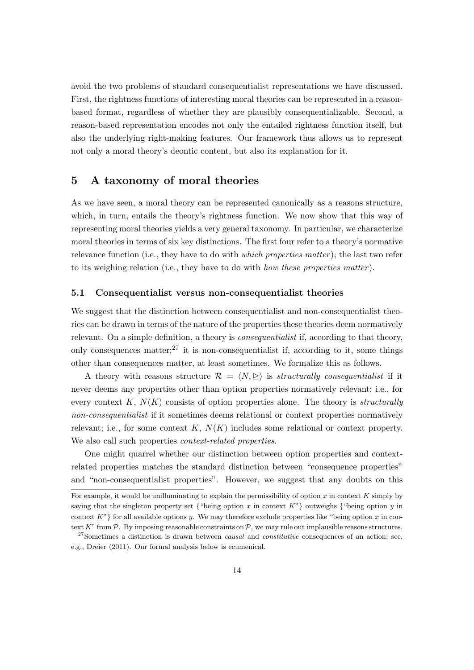avoid the two problems of standard consequentialist representations we have discussed. First, the rightness functions of interesting moral theories can be represented in a reasonbased format, regardless of whether they are plausibly consequentializable. Second, a reason-based representation encodes not only the entailed rightness function itself, but also the underlying right-making features. Our framework thus allows us to represent not only a moral theory's deontic content, but also its explanation for it.

### 5 A taxonomy of moral theories

As we have seen, a moral theory can be represented canonically as a reasons structure, which, in turn, entails the theory's rightness function. We now show that this way of representing moral theories yields a very general taxonomy. In particular, we characterize moral theories in terms of six key distinctions. The first four refer to a theory's normative relevance function (i.e., they have to do with *which properties matter* ); the last two refer to its weighing relation (i.e., they have to do with *how these properties matter* ).

### 5.1 Consequentialist versus non-consequentialist theories

We suggest that the distinction between consequentialist and non-consequentialist theories can be drawn in terms of the nature of the properties these theories deem normatively relevant. On a simple definition, a theory is *consequentialist* if, according to that theory, only consequences matter;<sup>27</sup> it is non-consequentialist if, according to it, some things other than consequences matter, at least sometimes. We formalize this as follows.

A theory with reasons structure  $\mathcal{R} = \langle N, \geq \rangle$  is *structurally consequentialist* if it never deems any properties other than option properties normatively relevant; i.e., for every context K, N(K) consists of option properties alone. The theory is *structurally non-consequentialist* if it sometimes deems relational or context properties normatively relevant; i.e., for some context  $K, N(K)$  includes some relational or context property. We also call such properties *context-related properties*.

One might quarrel whether our distinction between option properties and contextrelated properties matches the standard distinction between "consequence properties" and "non-consequentialist properties". However, we suggest that any doubts on this

For example, it would be unilluminating to explain the permissibility of option x in context  $K$  simply by saying that the singleton property set {"being option x in context  $K^r$ } outweighs {"being option y in context  $K$ "} for all available options y. We may therefore exclude properties like "being option x in context K" from  $\mathcal{P}$ . By imposing reasonable constraints on  $\mathcal{P}$ , we may rule out implausible reasons structures.

 $27$ Sometimes a distinction is drawn between *causal* and *constitutive* consequences of an action; see, e.g., Dreier (2011). Our formal analysis below is ecumenical.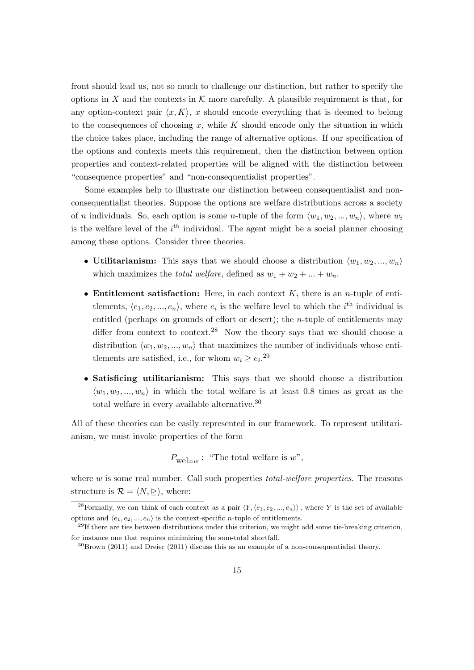front should lead us, not so much to challenge our distinction, but rather to specify the options in X and the contexts in  $K$  more carefully. A plausible requirement is that, for any option-context pair  $\langle x, K \rangle$ , x should encode everything that is deemed to belong to the consequences of choosing  $x$ , while  $K$  should encode only the situation in which the choice takes place, including the range of alternative options. If our specification of the options and contexts meets this requirement, then the distinction between option properties and context-related properties will be aligned with the distinction between "consequence properties" and "non-consequentialist properties".

Some examples help to illustrate our distinction between consequentialist and nonconsequentialist theories. Suppose the options are welfare distributions across a society of n individuals. So, each option is some n-tuple of the form  $\langle w_1, w_2, ..., w_n \rangle$ , where w<sub>i</sub> is the welfare level of the  $i<sup>th</sup>$  individual. The agent might be a social planner choosing among these options. Consider three theories.

- Utilitarianism: This says that we should choose a distribution  $\langle w_1, w_2, ..., w_n \rangle$ which maximizes the *total welfare*, defined as  $w_1 + w_2 + ... + w_n$ .
- Entitlement satisfaction: Here, in each context  $K$ , there is an *n*-tuple of entitlements,  $\langle e_1, e_2, ..., e_n \rangle$ , where  $e_i$  is the welfare level to which the i<sup>th</sup> individual is entitled (perhaps on grounds of effort or desert); the n-tuple of entitlements may differ from context to context.<sup>28</sup> Now the theory says that we should choose a distribution  $\langle w_1, w_2, ..., w_n \rangle$  that maximizes the number of individuals whose entitlements are satisfied, i.e., for whom  $w_i \ge e_i$ .<sup>29</sup>
- Satisficing utilitarianism: This says that we should choose a distribution  $\langle w_1, w_2, ..., w_n \rangle$  in which the total welfare is at least 0.8 times as great as the total welfare in every available alternative.<sup>30</sup>

All of these theories can be easily represented in our framework. To represent utilitarianism, we must invoke properties of the form

 $P_{\text{wel}=w}$ : "The total welfare is w",

where w is some real number. Call such properties *total-welfare properties*. The reasons structure is  $\mathcal{R} = \langle N, \triangleright \rangle$ , where:

<sup>&</sup>lt;sup>28</sup>Formally, we can think of each context as a pair  $\langle Y,\langle e_1,e_2,...,e_n\rangle\rangle$ , where Y is the set of available options and  $\langle e_1, e_2, ..., e_n \rangle$  is the context-specific *n*-tuple of entitlements.

 $^{29}$ If there are ties between distributions under this criterion, we might add some tie-breaking criterion, for instance one that requires minimizing the sum-total shortfall.

<sup>30</sup>Brown (2011) and Dreier (2011) discuss this as an example of a non-consequentialist theory.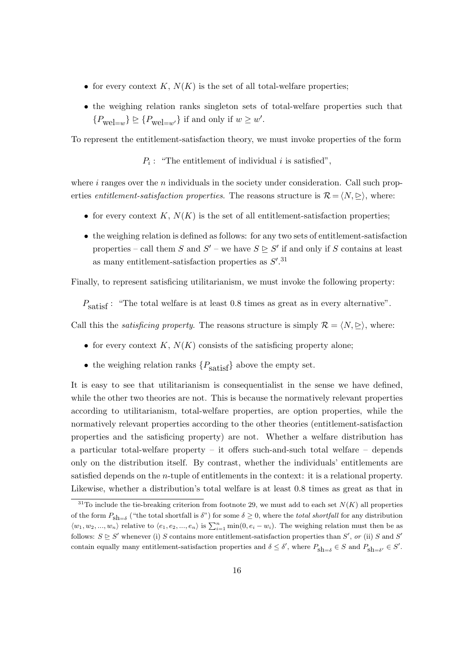- for every context K,  $N(K)$  is the set of all total-welfare properties;
- the weighing relation ranks singleton sets of total-welfare properties such that  $\{P_{\text{wel}=w}\} \trianglerighteq \{P_{\text{wel}=w'}\}$  if and only if  $w \geq w'.$

To represent the entitlement-satisfaction theory, we must invoke properties of the form

 $P_i$ : "The entitlement of individual i is satisfied",

where  $i$  ranges over the n individuals in the society under consideration. Call such properties *entitlement-satisfaction properties*. The reasons structure is  $\mathcal{R} = \langle N, \geq \rangle$ , where:

- for every context  $K, N(K)$  is the set of all entitlement-satisfaction properties;
- the weighing relation is defined as follows: for any two sets of entitlement-satisfaction properties – call them S and  $S'$  – we have  $S \trianglerighteq S'$  if and only if S contains at least as many entitlement-satisfaction properties as  $S'.^{31}$

Finally, to represent satisficing utilitarianism, we must invoke the following property:

 $P_{satisf}:$  "The total welfare is at least 0.8 times as great as in every alternative".

Call this the *satisficing property*. The reasons structure is simply  $\mathcal{R} = \langle N, \geq \rangle$ , where:

- for every context K,  $N(K)$  consists of the satisficing property alone;
- $\bullet\,$  the weighing relation ranks  $\{P_{\mbox{satisf}}\}$  above the empty set.

It is easy to see that utilitarianism is consequentialist in the sense we have defined, while the other two theories are not. This is because the normatively relevant properties according to utilitarianism, total-welfare properties, are option properties, while the normatively relevant properties according to the other theories (entitlement-satisfaction properties and the satisficing property) are not. Whether a welfare distribution has a particular total-welfare property – it offers such-and-such total welfare – depends only on the distribution itself. By contrast, whether the individuals' entitlements are satisfied depends on the *n*-tuple of entitlements in the context: it is a relational property. Likewise, whether a distribution's total welfare is at least 0.8 times as great as that in

 $31$ To include the tie-breaking criterion from footnote 29, we must add to each set  $N(K)$  all properties of the form  $P_{\text{sh}=\delta}$  ("the total shortfall is  $\delta$ ") for some  $\delta \geq 0$ , where the *total shortfall* for any distribution  $\langle w_1, w_2, ..., w_n \rangle$  relative to  $\langle e_1, e_2, ..., e_n \rangle$  is  $\sum_{i=1}^n \min(0, e_i - w_i)$ . The weighing relation must then be as follows:  $S \subseteq S'$  whenever (i) S contains more entitlement-satisfaction properties than S', or (ii) S and S' contain equally many entitlement-satisfaction properties and  $\delta \leq \delta'$ , where  $P_{\text{sh}=\delta} \in S$  and  $P_{\text{sh}=\delta'} \in S'$ .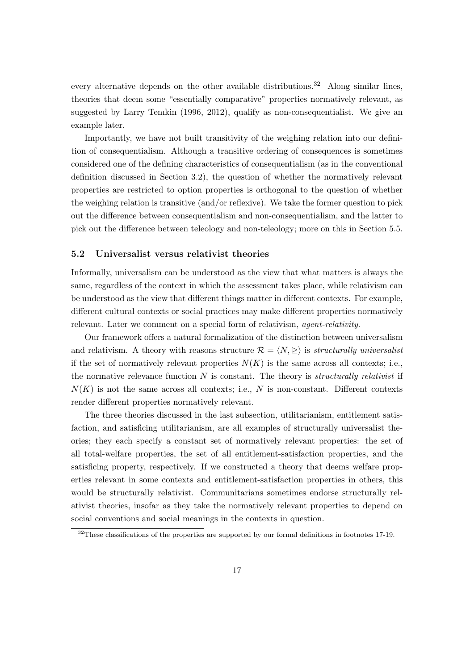every alternative depends on the other available distributions.<sup>32</sup> Along similar lines, theories that deem some "essentially comparative" properties normatively relevant, as suggested by Larry Temkin (1996, 2012), qualify as non-consequentialist. We give an example later.

Importantly, we have not built transitivity of the weighing relation into our definition of consequentialism. Although a transitive ordering of consequences is sometimes considered one of the defining characteristics of consequentialism (as in the conventional definition discussed in Section 3.2), the question of whether the normatively relevant properties are restricted to option properties is orthogonal to the question of whether the weighing relation is transitive (and/or reflexive). We take the former question to pick out the difference between consequentialism and non-consequentialism, and the latter to pick out the difference between teleology and non-teleology; more on this in Section 5.5.

### 5.2 Universalist versus relativist theories

Informally, universalism can be understood as the view that what matters is always the same, regardless of the context in which the assessment takes place, while relativism can be understood as the view that different things matter in different contexts. For example, different cultural contexts or social practices may make different properties normatively relevant. Later we comment on a special form of relativism, *agent-relativity*.

Our framework offers a natural formalization of the distinction between universalism and relativism. A theory with reasons structure  $\mathcal{R} = \langle N, \triangleright \rangle$  is *structurally universalist* if the set of normatively relevant properties  $N(K)$  is the same across all contexts; i.e., the normative relevance function N is constant. The theory is *structurally relativist* if  $N(K)$  is not the same across all contexts; i.e., N is non-constant. Different contexts render different properties normatively relevant.

The three theories discussed in the last subsection, utilitarianism, entitlement satisfaction, and satisficing utilitarianism, are all examples of structurally universalist theories; they each specify a constant set of normatively relevant properties: the set of all total-welfare properties, the set of all entitlement-satisfaction properties, and the satisficing property, respectively. If we constructed a theory that deems welfare properties relevant in some contexts and entitlement-satisfaction properties in others, this would be structurally relativist. Communitarians sometimes endorse structurally relativist theories, insofar as they take the normatively relevant properties to depend on social conventions and social meanings in the contexts in question.

<sup>&</sup>lt;sup>32</sup>These classifications of the properties are supported by our formal definitions in footnotes 17-19.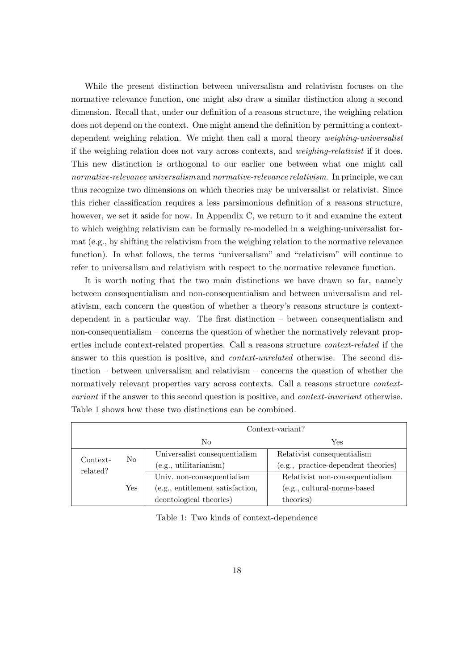While the present distinction between universalism and relativism focuses on the normative relevance function, one might also draw a similar distinction along a second dimension. Recall that, under our definition of a reasons structure, the weighing relation does not depend on the context. One might amend the definition by permitting a contextdependent weighing relation. We might then call a moral theory *weighing-universalist* if the weighing relation does not vary across contexts, and *weighing-relativist* if it does. This new distinction is orthogonal to our earlier one between what one might call *normative-relevance universalism* and *normative-relevance relativism*. In principle, we can thus recognize two dimensions on which theories may be universalist or relativist. Since this richer classification requires a less parsimonious definition of a reasons structure, however, we set it aside for now. In Appendix C, we return to it and examine the extent to which weighing relativism can be formally re-modelled in a weighing-universalist format (e.g., by shifting the relativism from the weighing relation to the normative relevance function). In what follows, the terms "universalism" and "relativism" will continue to refer to universalism and relativism with respect to the normative relevance function.

It is worth noting that the two main distinctions we have drawn so far, namely between consequentialism and non-consequentialism and between universalism and relativism, each concern the question of whether a theory's reasons structure is contextdependent in a particular way. The first distinction – between consequentialism and non-consequentialism – concerns the question of whether the normatively relevant properties include context-related properties. Call a reasons structure *context-related* if the answer to this question is positive, and *context-unrelated* otherwise. The second distinction – between universalism and relativism – concerns the question of whether the normatively relevant properties vary across contexts. Call a reasons structure *contextvariant* if the answer to this second question is positive, and *context-invariant* otherwise. Table 1 shows how these two distinctions can be combined.

|                      |          | Context-variant?                 |                                     |
|----------------------|----------|----------------------------------|-------------------------------------|
|                      |          | No                               | Yes                                 |
| Context-<br>related? | $\rm No$ | Universalist consequentialism    | Relativist consequentialism         |
|                      |          | (e.g., utilitarianism)           | (e.g., practice-dependent theories) |
|                      |          | Univ. non-consequentialism       | Relativist non-consequentialism     |
|                      | Yes      | (e.g., entitlement satisfaction, | (e.g., cultural-norms-based)        |
|                      |          | deontological theories)          | theories)                           |

Table 1: Two kinds of context-dependence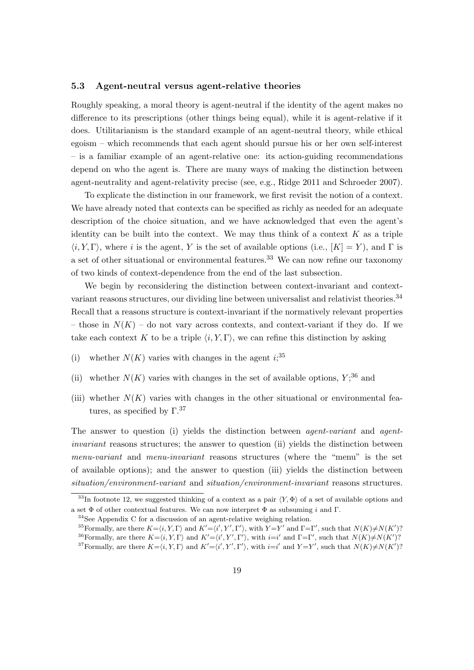### 5.3 Agent-neutral versus agent-relative theories

Roughly speaking, a moral theory is agent-neutral if the identity of the agent makes no difference to its prescriptions (other things being equal), while it is agent-relative if it does. Utilitarianism is the standard example of an agent-neutral theory, while ethical egoism – which recommends that each agent should pursue his or her own self-interest – is a familiar example of an agent-relative one: its action-guiding recommendations depend on who the agent is. There are many ways of making the distinction between agent-neutrality and agent-relativity precise (see, e.g., Ridge 2011 and Schroeder 2007).

To explicate the distinction in our framework, we first revisit the notion of a context. We have already noted that contexts can be specified as richly as needed for an adequate description of the choice situation, and we have acknowledged that even the agent's identity can be built into the context. We may thus think of a context  $K$  as a triple  $\langle i, Y, \Gamma \rangle$ , where i is the agent, Y is the set of available options (i.e.,  $[K] = Y$ ), and  $\Gamma$  is a set of other situational or environmental features.<sup>33</sup> We can now refine our taxonomy of two kinds of context-dependence from the end of the last subsection.

We begin by reconsidering the distinction between context-invariant and contextvariant reasons structures, our dividing line between universalist and relativist theories.<sup>34</sup> Recall that a reasons structure is context-invariant if the normatively relevant properties – those in  $N(K)$  – do not vary across contexts, and context-variant if they do. If we take each context K to be a triple  $\langle i, Y, \Gamma \rangle$ , we can refine this distinction by asking

- (i) whether  $N(K)$  varies with changes in the agent  $i$ <sup>35</sup>,
- (ii) whether  $N(K)$  varies with changes in the set of available options,  $Y;^{36}$  and
- (iii) whether  $N(K)$  varies with changes in the other situational or environmental features, as specified by  $\Gamma^{37}$

The answer to question (i) yields the distinction between *agent-variant* and *agentinvariant* reasons structures; the answer to question (ii) yields the distinction between *menu-variant* and *menu-invariant* reasons structures (where the "menu" is the set of available options); and the answer to question (iii) yields the distinction between *situation/environment-variant* and *situation/environment-invariant* reasons structures.

<sup>&</sup>lt;sup>33</sup>In footnote 12, we suggested thinking of a context as a pair  $\langle Y, \Phi \rangle$  of a set of available options and a set  $\Phi$  of other contextual features. We can now interpret  $\Phi$  as subsuming i and Γ.

<sup>34</sup>See Appendix C for a discussion of an agent-relative weighing relation.

<sup>&</sup>lt;sup>35</sup>Formally, are there  $K = \langle i, Y, \Gamma \rangle$  and  $K' = \langle i', Y', \Gamma' \rangle$ , with  $Y = Y'$  and  $\Gamma = \Gamma'$ , such that  $N(K) \neq N(K')$ ? <sup>36</sup>Formally, are there  $K = \langle i, Y, \Gamma \rangle$  and  $K' = \langle i', Y', \Gamma' \rangle$ , with  $i=i'$  and  $\Gamma = \Gamma'$ , such that  $N(K) \neq N(K')$ ? <sup>37</sup>Formally, are there  $K = \langle i, Y, \Gamma \rangle$  and  $K' = \langle i', Y', \Gamma' \rangle$ , with  $i=i'$  and  $Y = Y'$ , such that  $N(K) \neq N(K')$ ?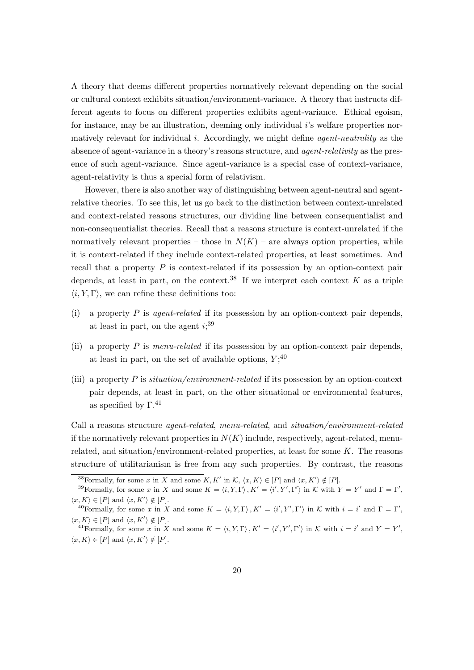A theory that deems different properties normatively relevant depending on the social or cultural context exhibits situation/environment-variance. A theory that instructs different agents to focus on different properties exhibits agent-variance. Ethical egoism, for instance, may be an illustration, deeming only individual i's welfare properties normatively relevant for individual i. Accordingly, we might define *agent-neutrality* as the absence of agent-variance in a theory's reasons structure, and *agent-relativity* as the presence of such agent-variance. Since agent-variance is a special case of context-variance, agent-relativity is thus a special form of relativism.

However, there is also another way of distinguishing between agent-neutral and agentrelative theories. To see this, let us go back to the distinction between context-unrelated and context-related reasons structures, our dividing line between consequentialist and non-consequentialist theories. Recall that a reasons structure is context-unrelated if the normatively relevant properties – those in  $N(K)$  – are always option properties, while it is context-related if they include context-related properties, at least sometimes. And recall that a property  $P$  is context-related if its possession by an option-context pair depends, at least in part, on the context.<sup>38</sup> If we interpret each context K as a triple  $\langle i, Y, \Gamma \rangle$ , we can refine these definitions too:

- (i) a property P is *agent-related* if its possession by an option-context pair depends, at least in part, on the agent  $i$ ;<sup>39</sup>
- (ii) a property P is *menu-related* if its possession by an option-context pair depends, at least in part, on the set of available options,  $Y;^{40}$
- (iii) a property P is *situation/environment-related* if its possession by an option-context pair depends, at least in part, on the other situational or environmental features, as specified by  $\Gamma^{.41}$

Call a reasons structure *agent-related*, *menu-related*, and *situation/environment-related* if the normatively relevant properties in  $N(K)$  include, respectively, agent-related, menurelated, and situation/environment-related properties, at least for some  $K$ . The reasons structure of utilitarianism is free from any such properties. By contrast, the reasons

<sup>&</sup>lt;sup>38</sup> Formally, for some x in X and some  $K, K'$  in  $\mathcal{K}, \langle x, K \rangle \in [P]$  and  $\langle x, K' \rangle \notin [P]$ .

<sup>&</sup>lt;sup>39</sup>Formally, for some x in X and some  $K = \langle i, Y, \Gamma \rangle$ ,  $K' = \langle i', Y', \Gamma' \rangle$  in K with  $Y = Y'$  and  $\Gamma = \Gamma'$ ,  $\langle x, K \rangle \in [P]$  and  $\langle x, K' \rangle \notin [P]$ .

<sup>&</sup>lt;sup>40</sup>Formally, for some x in X and some  $K = \langle i, Y, \Gamma \rangle$ ,  $K' = \langle i', Y', \Gamma' \rangle$  in K with  $i = i'$  and  $\Gamma = \Gamma'$ ,  $\langle x, K \rangle \in [P]$  and  $\langle x, K' \rangle \notin [P]$ .

<sup>&</sup>lt;sup>41</sup>Formally, for some x in X and some  $K = \langle i, Y, \Gamma \rangle$ ,  $K' = \langle i', Y', \Gamma' \rangle$  in K with  $i = i'$  and  $Y = Y'$ ,  $\langle x, K \rangle \in [P]$  and  $\langle x, K' \rangle \notin [P]$ .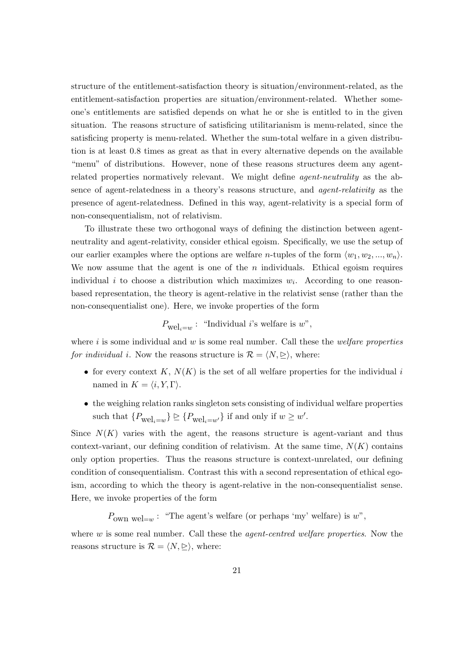structure of the entitlement-satisfaction theory is situation/environment-related, as the entitlement-satisfaction properties are situation/environment-related. Whether someone's entitlements are satisfied depends on what he or she is entitled to in the given situation. The reasons structure of satisficing utilitarianism is menu-related, since the satisficing property is menu-related. Whether the sum-total welfare in a given distribution is at least 0.8 times as great as that in every alternative depends on the available "menu" of distributions. However, none of these reasons structures deem any agentrelated properties normatively relevant. We might define *agent-neutrality* as the absence of agent-relatedness in a theory's reasons structure, and *agent-relativity* as the presence of agent-relatedness. Defined in this way, agent-relativity is a special form of non-consequentialism, not of relativism.

To illustrate these two orthogonal ways of defining the distinction between agentneutrality and agent-relativity, consider ethical egoism. Specifically, we use the setup of our earlier examples where the options are welfare *n*-tuples of the form  $\langle w_1, w_2, ..., w_n \rangle$ . We now assume that the agent is one of the  $n$  individuals. Ethical egoism requires individual i to choose a distribution which maximizes  $w_i$ . According to one reasonbased representation, the theory is agent-relative in the relativist sense (rather than the non-consequentialist one). Here, we invoke properties of the form

$$
P_{\text{wel}_i=w}:\text{ "Individual }i\text{'s welfare is }w\text{''},
$$

where i is some individual and w is some real number. Call these the *welfare properties for individual i.* Now the reasons structure is  $\mathcal{R} = \langle N, \geq \rangle$ , where:

- for every context  $K, N(K)$  is the set of all welfare properties for the individual i named in  $K = \langle i, Y, \Gamma \rangle$ .
- the weighing relation ranks singleton sets consisting of individual welfare properties such that  $\{P_{\text{wel}_i=w}\}\trianglerighteq \{P_{\text{wel}_i=w'}\}$  if and only if  $w\geq w'.$

Since  $N(K)$  varies with the agent, the reasons structure is agent-variant and thus context-variant, our defining condition of relativism. At the same time,  $N(K)$  contains only option properties. Thus the reasons structure is context-unrelated, our defining condition of consequentialism. Contrast this with a second representation of ethical egoism, according to which the theory is agent-relative in the non-consequentialist sense. Here, we invoke properties of the form

 $P_{\text{own well}=w}$ : "The agent's welfare (or perhaps 'my' welfare) is w",

where w is some real number. Call these the *agent-centred welfare properties*. Now the reasons structure is  $\mathcal{R} = \langle N, \triangleright \rangle$ , where: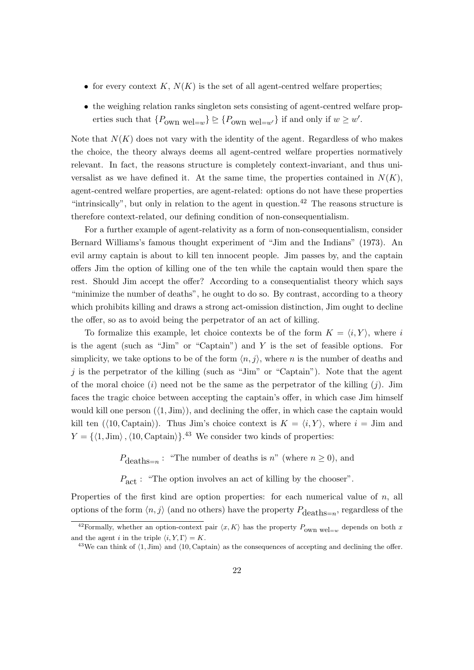- for every context  $K, N(K)$  is the set of all agent-centred welfare properties;
- the weighing relation ranks singleton sets consisting of agent-centred welfare properties such that  $\{P_{\text{own wel}=w}\}\subseteq \{P_{\text{own wel}=w'}\}$  if and only if  $w\geq w'.$

Note that  $N(K)$  does not vary with the identity of the agent. Regardless of who makes the choice, the theory always deems all agent-centred welfare properties normatively relevant. In fact, the reasons structure is completely context-invariant, and thus universalist as we have defined it. At the same time, the properties contained in  $N(K)$ , agent-centred welfare properties, are agent-related: options do not have these properties "intrinsically", but only in relation to the agent in question.<sup>42</sup> The reasons structure is therefore context-related, our defining condition of non-consequentialism.

For a further example of agent-relativity as a form of non-consequentialism, consider Bernard Williams's famous thought experiment of "Jim and the Indians" (1973). An evil army captain is about to kill ten innocent people. Jim passes by, and the captain offers Jim the option of killing one of the ten while the captain would then spare the rest. Should Jim accept the offer? According to a consequentialist theory which says "minimize the number of deaths", he ought to do so. By contrast, according to a theory which prohibits killing and draws a strong act-omission distinction, Jim ought to decline the offer, so as to avoid being the perpetrator of an act of killing.

To formalize this example, let choice contexts be of the form  $K = \langle i, Y \rangle$ , where i is the agent (such as "Jim" or "Captain") and  $Y$  is the set of feasible options. For simplicity, we take options to be of the form  $\langle n, j \rangle$ , where n is the number of deaths and j is the perpetrator of the killing (such as "Jim" or "Captain"). Note that the agent of the moral choice  $(i)$  need not be the same as the perpetrator of the killing  $(j)$ . Jim faces the tragic choice between accepting the captain's offer, in which case Jim himself would kill one person  $(\langle 1, \text{Jim} \rangle)$ , and declining the offer, in which case the captain would kill ten ( $\langle 10, \text{Captain} \rangle$ ). Thus Jim's choice context is  $K = \langle i, Y \rangle$ , where  $i = \text{Jim}$  and  $Y = \{ \langle 1, \text{Jim} \rangle, \langle 10, \text{Captain} \rangle \}.$ <sup>43</sup> We consider two kinds of properties:

 $P_{\text{deaths}=n}$ : "The number of deaths is n" (where  $n \geq 0$ ), and

 $P_{\text{act}}$ : "The option involves an act of killing by the chooser".

Properties of the first kind are option properties: for each numerical value of n, all options of the form  $\langle n, j \rangle$  (and no others) have the property  $P_{\text{deaths}=n}$ , regardless of the

<sup>&</sup>lt;sup>42</sup> Formally, whether an option-context pair  $\langle x, K \rangle$  has the property  $P_{\text{own well-w}}$  depends on both x and the agent i in the triple  $\langle i, Y, \Gamma \rangle = K$ .

<sup>&</sup>lt;sup>43</sup>We can think of  $\langle 1, \text{Jim} \rangle$  and  $\langle 10, \text{Captain} \rangle$  as the consequences of accepting and declining the offer.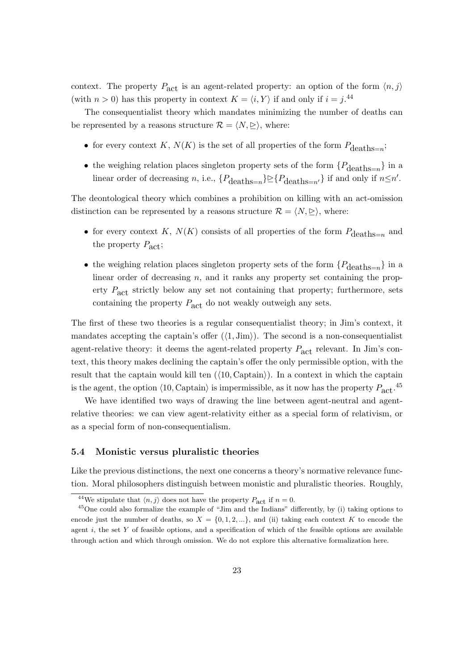context. The property  $P_{\text{act}}$  is an agent-related property: an option of the form  $\langle n, j \rangle$ (with  $n > 0$ ) has this property in context  $K = \langle i, Y \rangle$  if and only if  $i = j$ .<sup>44</sup>

The consequentialist theory which mandates minimizing the number of deaths can be represented by a reasons structure  $\mathcal{R} = \langle N, \geq \rangle$ , where:

- for every context K,  $N(K)$  is the set of all properties of the form  $P_{\text{deaths}=n}$ ;
- the weighing relation places singleton property sets of the form  ${P_{\text{deaths=n}}}$  in a linear order of decreasing n, i.e.,  $\{P_{\text{deaths}=n}\}\trianglerighteq \{P_{\text{deaths}=n'}\}$  if and only if  $n\leq n'$ .

The deontological theory which combines a prohibition on killing with an act-omission distinction can be represented by a reasons structure  $\mathcal{R} = \langle N, \geq \rangle$ , where:

- for every context K,  $N(K)$  consists of all properties of the form  $P_{\text{deaths}=n}$  and the property  $P_{\text{act}}$ ;
- the weighing relation places singleton property sets of the form  ${P_{\text{deaths=n}}}$  in a linear order of decreasing  $n$ , and it ranks any property set containing the property  $P_{\text{act}}$  strictly below any set not containing that property; furthermore, sets containing the property  $P_{\text{act}}$  do not weakly outweigh any sets.

The first of these two theories is a regular consequentialist theory; in Jim's context, it mandates accepting the captain's offer  $(\langle 1, \text{Jim} \rangle)$ . The second is a non-consequentialist agent-relative theory: it deems the agent-related property  $P_{\text{act}}$  relevant. In Jim's context, this theory makes declining the captain's offer the only permissible option, with the result that the captain would kill ten  $(\langle 10, \text{Captain} \rangle)$ . In a context in which the captain is the agent, the option  $\langle 10, \text{Capital} \rangle$  is impermissible, as it now has the property  $P_{\text{act}}$ .<sup>45</sup>

We have identified two ways of drawing the line between agent-neutral and agentrelative theories: we can view agent-relativity either as a special form of relativism, or as a special form of non-consequentialism.

### 5.4 Monistic versus pluralistic theories

Like the previous distinctions, the next one concerns a theory's normative relevance function. Moral philosophers distinguish between monistic and pluralistic theories. Roughly,

<sup>&</sup>lt;sup>44</sup>We stipulate that  $\langle n, j \rangle$  does not have the property  $P_{\text{act}}$  if  $n = 0$ .

<sup>45</sup>One could also formalize the example of "Jim and the Indians" differently, by (i) taking options to encode just the number of deaths, so  $X = \{0, 1, 2, ...\}$ , and (ii) taking each context K to encode the agent  $i$ , the set Y of feasible options, and a specification of which of the feasible options are available through action and which through omission. We do not explore this alternative formalization here.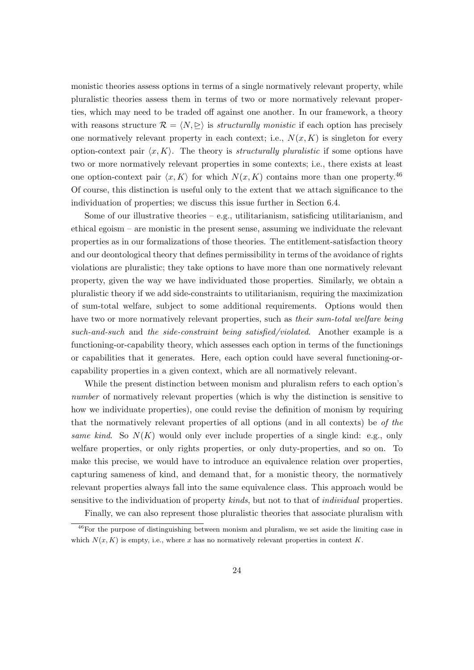monistic theories assess options in terms of a single normatively relevant property, while pluralistic theories assess them in terms of two or more normatively relevant properties, which may need to be traded off against one another. In our framework, a theory with reasons structure  $\mathcal{R} = \langle N, \ge \rangle$  is *structurally monistic* if each option has precisely one normatively relevant property in each context; i.e.,  $N(x, K)$  is singleton for every option-context pair  $\langle x, K \rangle$ . The theory is *structurally pluralistic* if some options have two or more normatively relevant properties in some contexts; i.e., there exists at least one option-context pair  $\langle x, K \rangle$  for which  $N(x, K)$  contains more than one property.<sup>46</sup> Of course, this distinction is useful only to the extent that we attach significance to the individuation of properties; we discuss this issue further in Section 6.4.

Some of our illustrative theories  $-e.g.,$  utilitarianism, satisficing utilitarianism, and ethical egoism – are monistic in the present sense, assuming we individuate the relevant properties as in our formalizations of those theories. The entitlement-satisfaction theory and our deontological theory that defines permissibility in terms of the avoidance of rights violations are pluralistic; they take options to have more than one normatively relevant property, given the way we have individuated those properties. Similarly, we obtain a pluralistic theory if we add side-constraints to utilitarianism, requiring the maximization of sum-total welfare, subject to some additional requirements. Options would then have two or more normatively relevant properties, such as *their sum-total welfare being such-and-such* and *the side-constraint being satisfied/violated*. Another example is a functioning-or-capability theory, which assesses each option in terms of the functionings or capabilities that it generates. Here, each option could have several functioning-orcapability properties in a given context, which are all normatively relevant.

While the present distinction between monism and pluralism refers to each option's *number* of normatively relevant properties (which is why the distinction is sensitive to how we individuate properties), one could revise the definition of monism by requiring that the normatively relevant properties of all options (and in all contexts) be *of the same kind.* So  $N(K)$  would only ever include properties of a single kind: e.g., only welfare properties, or only rights properties, or only duty-properties, and so on. To make this precise, we would have to introduce an equivalence relation over properties, capturing sameness of kind, and demand that, for a monistic theory, the normatively relevant properties always fall into the same equivalence class. This approach would be sensitive to the individuation of property *kinds*, but not to that of *individual* properties.

Finally, we can also represent those pluralistic theories that associate pluralism with

<sup>&</sup>lt;sup>46</sup>For the purpose of distinguishing between monism and pluralism, we set aside the limiting case in which  $N(x, K)$  is empty, i.e., where x has no normatively relevant properties in context K.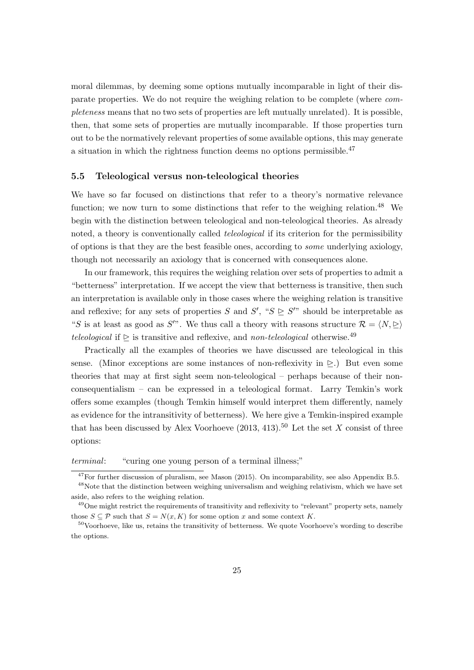moral dilemmas, by deeming some options mutually incomparable in light of their disparate properties. We do not require the weighing relation to be complete (where *completeness* means that no two sets of properties are left mutually unrelated). It is possible, then, that some sets of properties are mutually incomparable. If those properties turn out to be the normatively relevant properties of some available options, this may generate a situation in which the rightness function deems no options permissible.<sup>47</sup>

### 5.5 Teleological versus non-teleological theories

We have so far focused on distinctions that refer to a theory's normative relevance function; we now turn to some distinctions that refer to the weighing relation.<sup>48</sup> We begin with the distinction between teleological and non-teleological theories. As already noted, a theory is conventionally called *teleological* if its criterion for the permissibility of options is that they are the best feasible ones, according to *some* underlying axiology, though not necessarily an axiology that is concerned with consequences alone.

In our framework, this requires the weighing relation over sets of properties to admit a "betterness" interpretation. If we accept the view that betterness is transitive, then such an interpretation is available only in those cases where the weighing relation is transitive and reflexive; for any sets of properties S and S', " $S \triangleright S'$ " should be interpretable as "S is at least as good as S'". We thus call a theory with reasons structure  $\mathcal{R} = \langle N, \ge \rangle$ *teleological* if  $\geq$  is transitive and reflexive, and *non-teleological* otherwise.<sup>49</sup>

Practically all the examples of theories we have discussed are teleological in this sense. (Minor exceptions are some instances of non-reflexivity in  $\triangleright$ .) But even some theories that may at first sight seem non-teleological – perhaps because of their nonconsequentialism – can be expressed in a teleological format. Larry Temkin's work offers some examples (though Temkin himself would interpret them differently, namely as evidence for the intransitivity of betterness). We here give a Temkin-inspired example that has been discussed by Alex Voorhoeve  $(2013, 413)$ .<sup>50</sup> Let the set X consist of three options:

*terminal*: "curing one young person of a terminal illness;"

<sup>&</sup>lt;sup>47</sup>For further discussion of pluralism, see Mason (2015). On incomparability, see also Appendix B.5.

<sup>&</sup>lt;sup>48</sup>Note that the distinction between weighing universalism and weighing relativism, which we have set aside, also refers to the weighing relation.

<sup>&</sup>lt;sup>49</sup>One might restrict the requirements of transitivity and reflexivity to "relevant" property sets, namely those  $S \subseteq \mathcal{P}$  such that  $S = N(x, K)$  for some option x and some context K.

 $50$ Voorhoeve, like us, retains the transitivity of betterness. We quote Voorhoeve's wording to describe the options.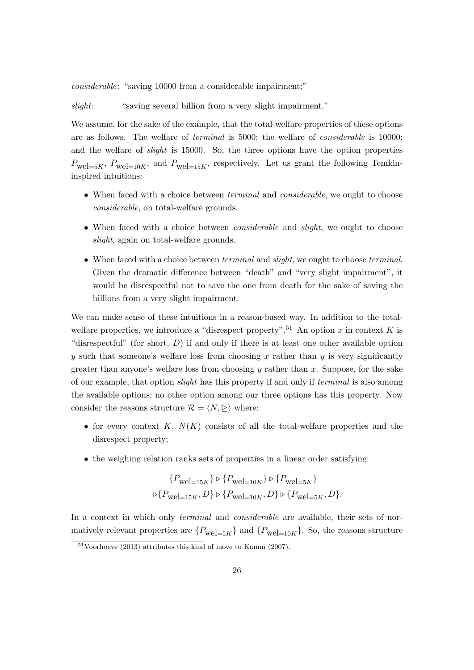*considerable*: "saving 10000 from a considerable impairment;"

*slight*: "saving several billion from a very slight impairment."

We assume, for the sake of the example, that the total-welfare properties of these options are as follows. The welfare of *terminal* is 5000; the welfare of *considerable* is 10000; and the welfare of *slight* is 15000. So, the three options have the option properties  $P_{\text{wel}=5K}$ ,  $P_{\text{wel}=10K}$ , and  $P_{\text{wel}=15K}$ , respectively. Let us grant the following Temkininspired intuitions:

- When faced with a choice between *terminal* and *considerable*, we ought to choose *considerable*, on total-welfare grounds.
- When faced with a choice between *considerable* and *slight*, we ought to choose *slight*, again on total-welfare grounds.
- When faced with a choice between *terminal* and *slight*, we ought to choose *terminal*. Given the dramatic difference between "death" and "very slight impairment", it would be disrespectful not to save the one from death for the sake of saving the billions from a very slight impairment.

We can make sense of these intuitions in a reason-based way. In addition to the totalwelfare properties, we introduce a "disrespect property".<sup>51</sup> An option x in context K is "disrespectful" (for short,  $D$ ) if and only if there is at least one other available option y such that someone's welfare loss from choosing x rather than y is very significantly greater than anyone's welfare loss from choosing  $y$  rather than  $x$ . Suppose, for the sake of our example, that option *slight* has this property if and only if *terminal* is also among the available options; no other option among our three options has this property. Now consider the reasons structure  $\mathcal{R} = \langle N, \triangleright \rangle$  where:

- for every context  $K, N(K)$  consists of all the total-welfare properties and the disrespect property;
- the weighing relation ranks sets of properties in a linear order satisfying:

$$
\begin{aligned} & \{P_{\text{wel}=15K}\}\triangleright \{P_{\text{wel}=10K}\}\triangleright \{P_{\text{wel}=5K}\} \\ & \triangleright \{P_{\text{wel}=15K},D\}\triangleright \{P_{\text{wel}=10K},D\}\triangleright \{P_{\text{wel}=5K},D\}. \end{aligned}
$$

In a context in which only *terminal* and *considerable* are available, their sets of normatively relevant properties are  ${P_{\text{wel}=5K}}$  and  ${P_{\text{wel}=10K}}$ . So, the reasons structure

 $51$ Voorhoeve (2013) attributes this kind of move to Kamm (2007).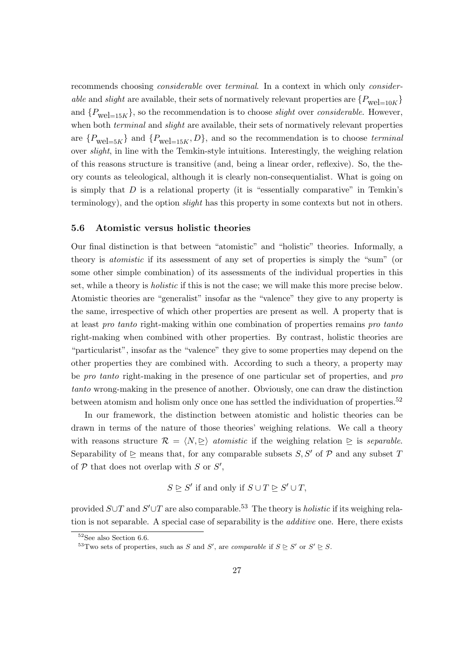recommends choosing *considerable* over *terminal*. In a context in which only *considerable* and *slight* are available, their sets of normatively relevant properties are  $\{P_{\text{wel}=10K}\}$ and {Pwel=15<sup>K</sup> }, so the recommendation is to choose *slight* over *considerable*. However, when both *terminal* and *slight* are available, their sets of normatively relevant properties are  ${P_{\text{wel}=5K}}$  and  ${P_{\text{wel}=15K}}$ , D, and so the recommendation is to choose *terminal* over *slight*, in line with the Temkin-style intuitions. Interestingly, the weighing relation of this reasons structure is transitive (and, being a linear order, reflexive). So, the theory counts as teleological, although it is clearly non-consequentialist. What is going on is simply that  $D$  is a relational property (it is "essentially comparative" in Temkin's terminology), and the option *slight* has this property in some contexts but not in others.

### 5.6 Atomistic versus holistic theories

Our final distinction is that between "atomistic" and "holistic" theories. Informally, a theory is *atomistic* if its assessment of any set of properties is simply the "sum" (or some other simple combination) of its assessments of the individual properties in this set, while a theory is *holistic* if this is not the case; we will make this more precise below. Atomistic theories are "generalist" insofar as the "valence" they give to any property is the same, irrespective of which other properties are present as well. A property that is at least *pro tanto* right-making within one combination of properties remains *pro tanto* right-making when combined with other properties. By contrast, holistic theories are "particularist", insofar as the "valence" they give to some properties may depend on the other properties they are combined with. According to such a theory, a property may be *pro tanto* right-making in the presence of one particular set of properties, and *pro tanto* wrong-making in the presence of another. Obviously, one can draw the distinction between atomism and holism only once one has settled the individuation of properties.<sup>52</sup>

In our framework, the distinction between atomistic and holistic theories can be drawn in terms of the nature of those theories' weighing relations. We call a theory with reasons structure  $\mathcal{R} = \langle N, \geq \rangle$  *atomistic* if the weighing relation  $\geq$  is *separable*. Separability of  $\geq$  means that, for any comparable subsets S, S' of P and any subset T of  $P$  that does not overlap with  $S$  or  $S'$ ,

 $S \trianglerighteq S'$  if and only if  $S \cup T \trianglerighteq S' \cup T$ ,

provided  $S \cup T$  and  $S' \cup T$  are also comparable.<sup>53</sup> The theory is *holistic* if its weighing relation is not separable. A special case of separability is the *additive* one. Here, there exists

 $52$ See also Section 6.6.

<sup>&</sup>lt;sup>53</sup>Two sets of properties, such as S and S', are *comparable* if  $S \trianglerighteq S'$  or  $S' \trianglerighteq S$ .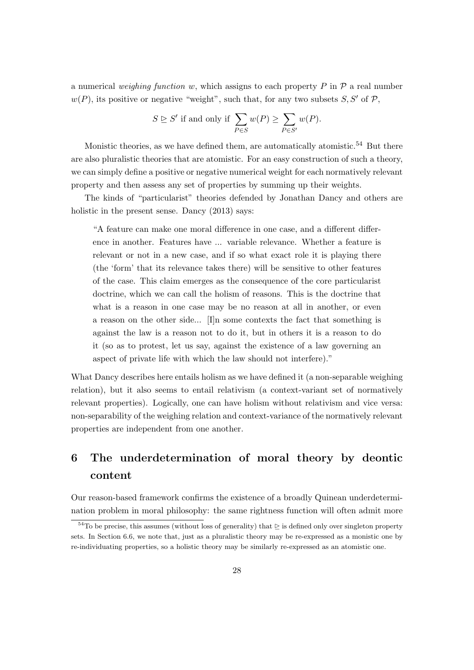a numerical *weighing function* w, which assigns to each property  $P$  in  $\mathcal P$  a real number  $w(P)$ , its positive or negative "weight", such that, for any two subsets S, S' of P,

$$
S \trianglerighteq S' \text{ if and only if } \sum_{P \in S} w(P) \geq \sum_{P \in S'} w(P).
$$

Monistic theories, as we have defined them, are automatically atomistic.<sup>54</sup> But there are also pluralistic theories that are atomistic. For an easy construction of such a theory, we can simply define a positive or negative numerical weight for each normatively relevant property and then assess any set of properties by summing up their weights.

The kinds of "particularist" theories defended by Jonathan Dancy and others are holistic in the present sense. Dancy  $(2013)$  says:

"A feature can make one moral difference in one case, and a different difference in another. Features have ... variable relevance. Whether a feature is relevant or not in a new case, and if so what exact role it is playing there (the 'form' that its relevance takes there) will be sensitive to other features of the case. This claim emerges as the consequence of the core particularist doctrine, which we can call the holism of reasons. This is the doctrine that what is a reason in one case may be no reason at all in another, or even a reason on the other side... [I]n some contexts the fact that something is against the law is a reason not to do it, but in others it is a reason to do it (so as to protest, let us say, against the existence of a law governing an aspect of private life with which the law should not interfere)."

What Dancy describes here entails holism as we have defined it (a non-separable weighing relation), but it also seems to entail relativism (a context-variant set of normatively relevant properties). Logically, one can have holism without relativism and vice versa: non-separability of the weighing relation and context-variance of the normatively relevant properties are independent from one another.

## 6 The underdetermination of moral theory by deontic content

Our reason-based framework confirms the existence of a broadly Quinean underdetermination problem in moral philosophy: the same rightness function will often admit more

 $54$ To be precise, this assumes (without loss of generality) that  $\geq$  is defined only over singleton property sets. In Section 6.6, we note that, just as a pluralistic theory may be re-expressed as a monistic one by re-individuating properties, so a holistic theory may be similarly re-expressed as an atomistic one.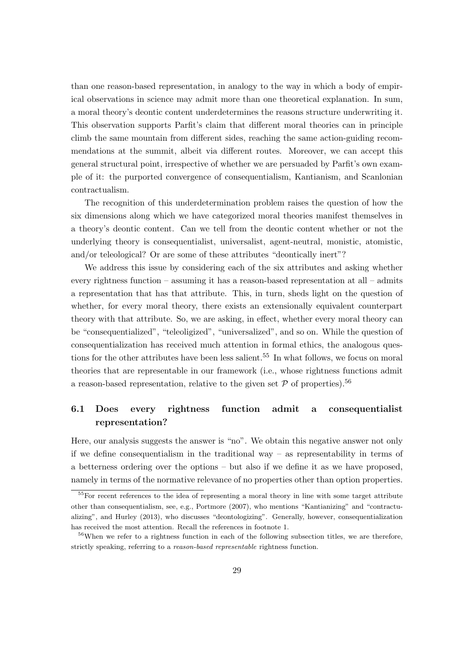than one reason-based representation, in analogy to the way in which a body of empirical observations in science may admit more than one theoretical explanation. In sum, a moral theory's deontic content underdetermines the reasons structure underwriting it. This observation supports Parfit's claim that different moral theories can in principle climb the same mountain from different sides, reaching the same action-guiding recommendations at the summit, albeit via different routes. Moreover, we can accept this general structural point, irrespective of whether we are persuaded by Parfit's own example of it: the purported convergence of consequentialism, Kantianism, and Scanlonian contractualism.

The recognition of this underdetermination problem raises the question of how the six dimensions along which we have categorized moral theories manifest themselves in a theory's deontic content. Can we tell from the deontic content whether or not the underlying theory is consequentialist, universalist, agent-neutral, monistic, atomistic, and/or teleological? Or are some of these attributes "deontically inert"?

We address this issue by considering each of the six attributes and asking whether every rightness function – assuming it has a reason-based representation at all – admits a representation that has that attribute. This, in turn, sheds light on the question of whether, for every moral theory, there exists an extensionally equivalent counterpart theory with that attribute. So, we are asking, in effect, whether every moral theory can be "consequentialized", "teleoligized", "universalized", and so on. While the question of consequentialization has received much attention in formal ethics, the analogous questions for the other attributes have been less salient.<sup>55</sup> In what follows, we focus on moral theories that are representable in our framework (i.e., whose rightness functions admit a reason-based representation, relative to the given set  $P$  of properties).<sup>56</sup>

### 6.1 Does every rightness function admit a consequentialist representation?

Here, our analysis suggests the answer is "no". We obtain this negative answer not only if we define consequentialism in the traditional way – as representability in terms of a betterness ordering over the options – but also if we define it as we have proposed, namely in terms of the normative relevance of no properties other than option properties.

<sup>&</sup>lt;sup>55</sup>For recent references to the idea of representing a moral theory in line with some target attribute other than consequentialism, see, e.g., Portmore (2007), who mentions "Kantianizing" and "contractualizing", and Hurley (2013), who discusses "deontologizing". Generally, however, consequentialization has received the most attention. Recall the references in footnote 1.

<sup>&</sup>lt;sup>56</sup>When we refer to a rightness function in each of the following subsection titles, we are therefore, strictly speaking, referring to a reason-based representable rightness function.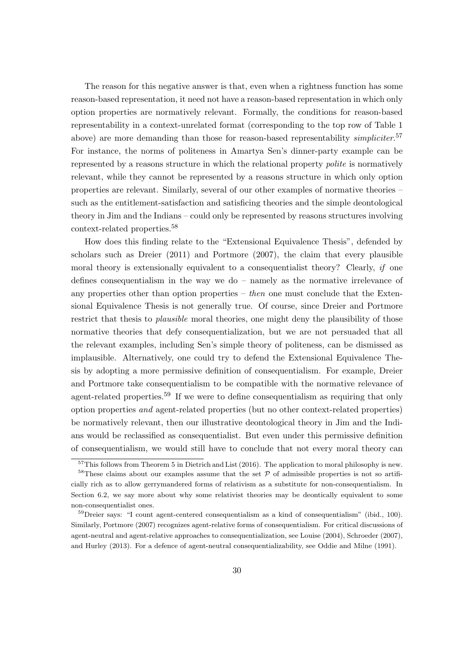The reason for this negative answer is that, even when a rightness function has some reason-based representation, it need not have a reason-based representation in which only option properties are normatively relevant. Formally, the conditions for reason-based representability in a context-unrelated format (corresponding to the top row of Table 1 above) are more demanding than those for reason-based representability *simpliciter*. 57 For instance, the norms of politeness in Amartya Sen's dinner-party example can be represented by a reasons structure in which the relational property *polite* is normatively relevant, while they cannot be represented by a reasons structure in which only option properties are relevant. Similarly, several of our other examples of normative theories – such as the entitlement-satisfaction and satisficing theories and the simple deontological theory in Jim and the Indians – could only be represented by reasons structures involving context-related properties.<sup>58</sup>

How does this finding relate to the "Extensional Equivalence Thesis", defended by scholars such as Dreier (2011) and Portmore (2007), the claim that every plausible moral theory is extensionally equivalent to a consequentialist theory? Clearly, *if* one defines consequentialism in the way we do – namely as the normative irrelevance of any properties other than option properties – *then* one must conclude that the Extensional Equivalence Thesis is not generally true. Of course, since Dreier and Portmore restrict that thesis to *plausible* moral theories, one might deny the plausibility of those normative theories that defy consequentialization, but we are not persuaded that all the relevant examples, including Sen's simple theory of politeness, can be dismissed as implausible. Alternatively, one could try to defend the Extensional Equivalence Thesis by adopting a more permissive definition of consequentialism. For example, Dreier and Portmore take consequentialism to be compatible with the normative relevance of agent-related properties.<sup>59</sup> If we were to define consequentialism as requiring that only option properties *and* agent-related properties (but no other context-related properties) be normatively relevant, then our illustrative deontological theory in Jim and the Indians would be reclassified as consequentialist. But even under this permissive definition of consequentialism, we would still have to conclude that not every moral theory can

 $57$ This follows from Theorem 5 in Dietrich and List (2016). The application to moral philosophy is new.

 $58$ These claims about our examples assume that the set  $P$  of admissible properties is not so artificially rich as to allow gerrymandered forms of relativism as a substitute for non-consequentialism. In Section 6.2, we say more about why some relativist theories may be deontically equivalent to some non-consequentialist ones.

 $59$  Dreier says: "I count agent-centered consequentialism as a kind of consequentialism" (ibid., 100). Similarly, Portmore (2007) recognizes agent-relative forms of consequentialism. For critical discussions of agent-neutral and agent-relative approaches to consequentialization, see Louise (2004), Schroeder (2007), and Hurley (2013). For a defence of agent-neutral consequentializability, see Oddie and Milne (1991).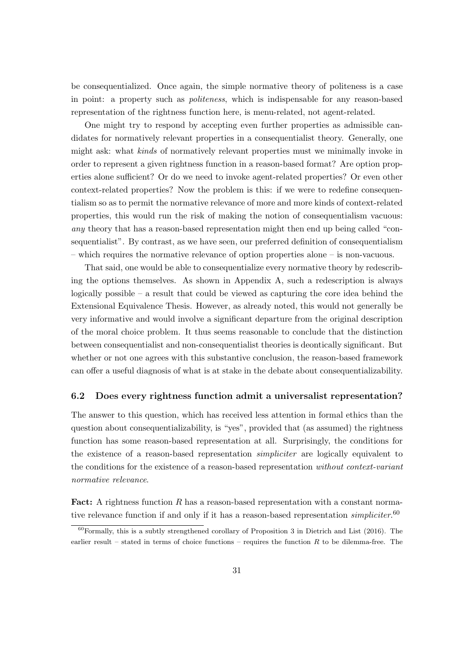be consequentialized. Once again, the simple normative theory of politeness is a case in point: a property such as *politeness*, which is indispensable for any reason-based representation of the rightness function here, is menu-related, not agent-related.

One might try to respond by accepting even further properties as admissible candidates for normatively relevant properties in a consequentialist theory. Generally, one might ask: what *kinds* of normatively relevant properties must we minimally invoke in order to represent a given rightness function in a reason-based format? Are option properties alone sufficient? Or do we need to invoke agent-related properties? Or even other context-related properties? Now the problem is this: if we were to redefine consequentialism so as to permit the normative relevance of more and more kinds of context-related properties, this would run the risk of making the notion of consequentialism vacuous: *any* theory that has a reason-based representation might then end up being called "consequentialist". By contrast, as we have seen, our preferred definition of consequentialism – which requires the normative relevance of option properties alone – is non-vacuous.

That said, one would be able to consequentialize every normative theory by redescribing the options themselves. As shown in Appendix A, such a redescription is always logically possible – a result that could be viewed as capturing the core idea behind the Extensional Equivalence Thesis. However, as already noted, this would not generally be very informative and would involve a significant departure from the original description of the moral choice problem. It thus seems reasonable to conclude that the distinction between consequentialist and non-consequentialist theories is deontically significant. But whether or not one agrees with this substantive conclusion, the reason-based framework can offer a useful diagnosis of what is at stake in the debate about consequentializability.

### 6.2 Does every rightness function admit a universalist representation?

The answer to this question, which has received less attention in formal ethics than the question about consequentializability, is "yes", provided that (as assumed) the rightness function has some reason-based representation at all. Surprisingly, the conditions for the existence of a reason-based representation *simpliciter* are logically equivalent to the conditions for the existence of a reason-based representation *without context-variant normative relevance*.

Fact: A rightness function R has a reason-based representation with a constant normative relevance function if and only if it has a reason-based representation *simpliciter*. 60

 $60$ Formally, this is a subtly strengthened corollary of Proposition 3 in Dietrich and List (2016). The earlier result – stated in terms of choice functions – requires the function  $R$  to be dilemma-free. The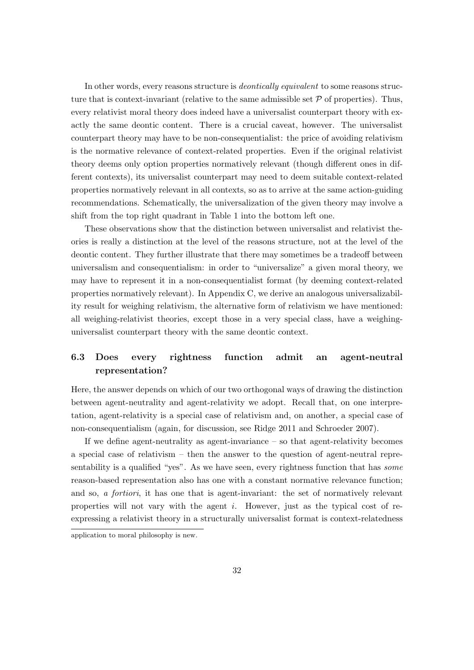In other words, every reasons structure is *deontically equivalent* to some reasons structure that is context-invariant (relative to the same admissible set  $P$  of properties). Thus, every relativist moral theory does indeed have a universalist counterpart theory with exactly the same deontic content. There is a crucial caveat, however. The universalist counterpart theory may have to be non-consequentialist: the price of avoiding relativism is the normative relevance of context-related properties. Even if the original relativist theory deems only option properties normatively relevant (though different ones in different contexts), its universalist counterpart may need to deem suitable context-related properties normatively relevant in all contexts, so as to arrive at the same action-guiding recommendations. Schematically, the universalization of the given theory may involve a shift from the top right quadrant in Table 1 into the bottom left one.

These observations show that the distinction between universalist and relativist theories is really a distinction at the level of the reasons structure, not at the level of the deontic content. They further illustrate that there may sometimes be a tradeoff between universalism and consequentialism: in order to "universalize" a given moral theory, we may have to represent it in a non-consequentialist format (by deeming context-related properties normatively relevant). In Appendix C, we derive an analogous universalizability result for weighing relativism, the alternative form of relativism we have mentioned: all weighing-relativist theories, except those in a very special class, have a weighinguniversalist counterpart theory with the same deontic context.

### 6.3 Does every rightness function admit an agent-neutral representation?

Here, the answer depends on which of our two orthogonal ways of drawing the distinction between agent-neutrality and agent-relativity we adopt. Recall that, on one interpretation, agent-relativity is a special case of relativism and, on another, a special case of non-consequentialism (again, for discussion, see Ridge 2011 and Schroeder 2007).

If we define agent-neutrality as agent-invariance – so that agent-relativity becomes a special case of relativism – then the answer to the question of agent-neutral representability is a qualified "yes". As we have seen, every rightness function that has *some* reason-based representation also has one with a constant normative relevance function; and so, *a fortiori*, it has one that is agent-invariant: the set of normatively relevant properties will not vary with the agent  $i$ . However, just as the typical cost of reexpressing a relativist theory in a structurally universalist format is context-relatedness

application to moral philosophy is new.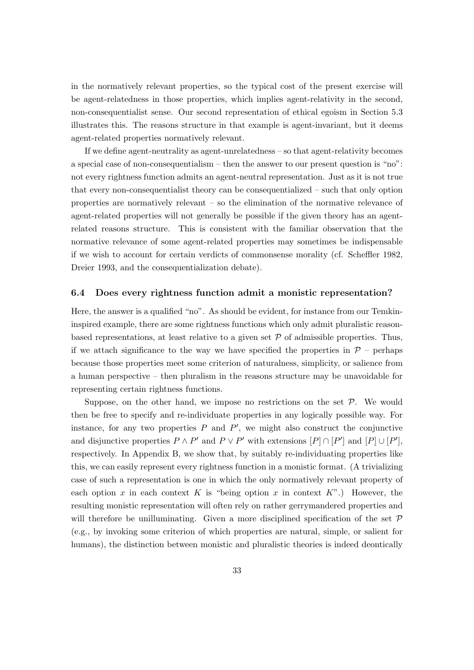in the normatively relevant properties, so the typical cost of the present exercise will be agent-relatedness in those properties, which implies agent-relativity in the second, non-consequentialist sense. Our second representation of ethical egoism in Section 5.3 illustrates this. The reasons structure in that example is agent-invariant, but it deems agent-related properties normatively relevant.

If we define agent-neutrality as agent-unrelatedness – so that agent-relativity becomes a special case of non-consequentialism – then the answer to our present question is "no": not every rightness function admits an agent-neutral representation. Just as it is not true that every non-consequentialist theory can be consequentialized – such that only option properties are normatively relevant – so the elimination of the normative relevance of agent-related properties will not generally be possible if the given theory has an agentrelated reasons structure. This is consistent with the familiar observation that the normative relevance of some agent-related properties may sometimes be indispensable if we wish to account for certain verdicts of commonsense morality (cf. Scheffler 1982, Dreier 1993, and the consequentialization debate).

#### 6.4 Does every rightness function admit a monistic representation?

Here, the answer is a qualified "no". As should be evident, for instance from our Temkininspired example, there are some rightness functions which only admit pluralistic reasonbased representations, at least relative to a given set  $P$  of admissible properties. Thus, if we attach significance to the way we have specified the properties in  $\mathcal{P}$  – perhaps because those properties meet some criterion of naturalness, simplicity, or salience from a human perspective – then pluralism in the reasons structure may be unavoidable for representing certain rightness functions.

Suppose, on the other hand, we impose no restrictions on the set  $P$ . We would then be free to specify and re-individuate properties in any logically possible way. For instance, for any two properties  $P$  and  $P'$ , we might also construct the conjunctive and disjunctive properties  $P \wedge P'$  and  $P \vee P'$  with extensions  $[P] \cap [P']$  and  $[P] \cup [P']$ , respectively. In Appendix B, we show that, by suitably re-individuating properties like this, we can easily represent every rightness function in a monistic format. (A trivializing case of such a representation is one in which the only normatively relevant property of each option x in each context K is "being option x in context  $K$ ".) However, the resulting monistic representation will often rely on rather gerrymandered properties and will therefore be unilluminating. Given a more disciplined specification of the set  $\mathcal P$ (e.g., by invoking some criterion of which properties are natural, simple, or salient for humans), the distinction between monistic and pluralistic theories is indeed deontically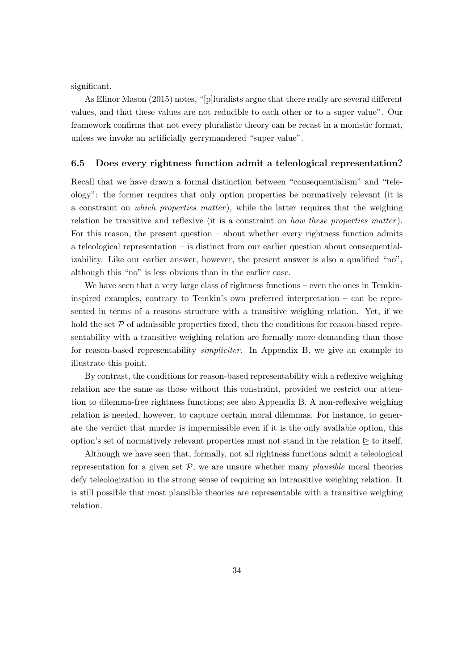significant.

As Elinor Mason (2015) notes, "[p]luralists argue that there really are several different values, and that these values are not reducible to each other or to a super value". Our framework confirms that not every pluralistic theory can be recast in a monistic format, unless we invoke an artificially gerrymandered "super value".

#### 6.5 Does every rightness function admit a teleological representation?

Recall that we have drawn a formal distinction between "consequentialism" and "teleology": the former requires that only option properties be normatively relevant (it is a constraint on *which properties matter* ), while the latter requires that the weighing relation be transitive and reflexive (it is a constraint on *how these properties matter* ). For this reason, the present question – about whether every rightness function admits a teleological representation – is distinct from our earlier question about consequentializability. Like our earlier answer, however, the present answer is also a qualified "no", although this "no" is less obvious than in the earlier case.

We have seen that a very large class of rightness functions – even the ones in Temkininspired examples, contrary to Temkin's own preferred interpretation – can be represented in terms of a reasons structure with a transitive weighing relation. Yet, if we hold the set  $P$  of admissible properties fixed, then the conditions for reason-based representability with a transitive weighing relation are formally more demanding than those for reason-based representability *simpliciter*. In Appendix B, we give an example to illustrate this point.

By contrast, the conditions for reason-based representability with a reflexive weighing relation are the same as those without this constraint, provided we restrict our attention to dilemma-free rightness functions; see also Appendix B. A non-reflexive weighing relation is needed, however, to capture certain moral dilemmas. For instance, to generate the verdict that murder is impermissible even if it is the only available option, this option's set of normatively relevant properties must not stand in the relation  $\geq$  to itself.

Although we have seen that, formally, not all rightness functions admit a teleological representation for a given set  $P$ , we are unsure whether many *plausible* moral theories defy teleologization in the strong sense of requiring an intransitive weighing relation. It is still possible that most plausible theories are representable with a transitive weighing relation.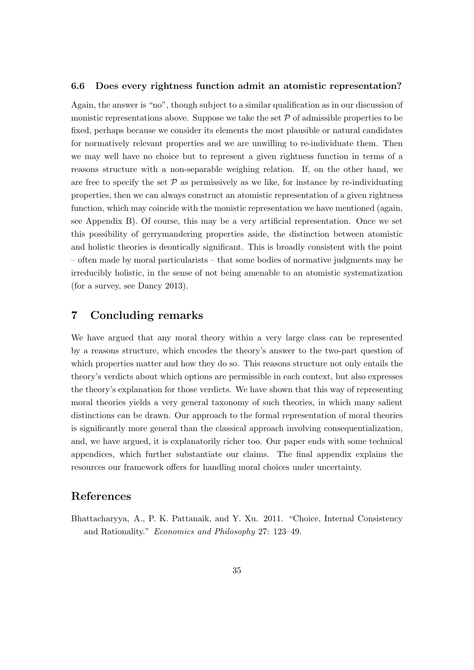### 6.6 Does every rightness function admit an atomistic representation?

Again, the answer is "no", though subject to a similar qualification as in our discussion of monistic representations above. Suppose we take the set  $\mathcal P$  of admissible properties to be fixed, perhaps because we consider its elements the most plausible or natural candidates for normatively relevant properties and we are unwilling to re-individuate them. Then we may well have no choice but to represent a given rightness function in terms of a reasons structure with a non-separable weighing relation. If, on the other hand, we are free to specify the set  $P$  as permissively as we like, for instance by re-individuating properties, then we can always construct an atomistic representation of a given rightness function, which may coincide with the monistic representation we have mentioned (again, see Appendix B). Of course, this may be a very artificial representation. Once we set this possibility of gerrymandering properties aside, the distinction between atomistic and holistic theories is deontically significant. This is broadly consistent with the point – often made by moral particularists – that some bodies of normative judgments may be irreducibly holistic, in the sense of not being amenable to an atomistic systematization (for a survey, see Dancy 2013).

### 7 Concluding remarks

We have argued that any moral theory within a very large class can be represented by a reasons structure, which encodes the theory's answer to the two-part question of which properties matter and how they do so. This reasons structure not only entails the theory's verdicts about which options are permissible in each context, but also expresses the theory's explanation for those verdicts. We have shown that this way of representing moral theories yields a very general taxonomy of such theories, in which many salient distinctions can be drawn. Our approach to the formal representation of moral theories is significantly more general than the classical approach involving consequentialization, and, we have argued, it is explanatorily richer too. Our paper ends with some technical appendices, which further substantiate our claims. The final appendix explains the resources our framework offers for handling moral choices under uncertainty.

### References

Bhattacharyya, A., P. K. Pattanaik, and Y. Xu. 2011. "Choice, Internal Consistency and Rationality." *Economics and Philosophy* 27: 123–49.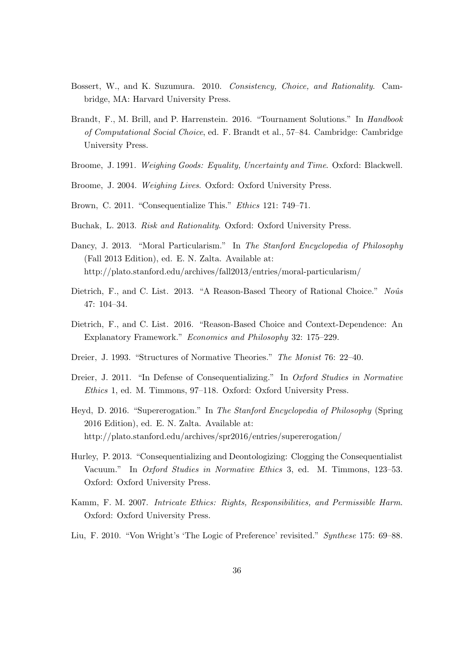- Bossert, W., and K. Suzumura. 2010. *Consistency, Choice, and Rationality*. Cambridge, MA: Harvard University Press.
- Brandt, F., M. Brill, and P. Harrenstein. 2016. "Tournament Solutions." In *Handbook of Computational Social Choice*, ed. F. Brandt et al., 57–84. Cambridge: Cambridge University Press.
- Broome, J. 1991*. Weighing Goods: Equality, Uncertainty and Time*. Oxford: Blackwell.
- Broome, J. 2004. *Weighing Lives*. Oxford: Oxford University Press.
- Brown, C. 2011. "Consequentialize This." *Ethics* 121: 749–71.
- Buchak, L. 2013. *Risk and Rationality*. Oxford: Oxford University Press.
- Dancy, J. 2013. "Moral Particularism." In *The Stanford Encyclopedia of Philosophy* (Fall 2013 Edition), ed. E. N. Zalta. Available at: http://plato.stanford.edu/archives/fall2013/entries/moral-particularism/
- Dietrich, F., and C. List. 2013. "A Reason-Based Theory of Rational Choice." *Noûs* 47: 104–34.
- Dietrich, F., and C. List. 2016. "Reason-Based Choice and Context-Dependence: An Explanatory Framework." *Economics and Philosophy* 32: 175–229.
- Dreier, J. 1993. "Structures of Normative Theories." *The Monist* 76: 22–40.
- Dreier, J. 2011. "In Defense of Consequentializing." In *Oxford Studies in Normative Ethics* 1, ed. M. Timmons, 97–118. Oxford: Oxford University Press.
- Heyd, D. 2016. "Supererogation." In *The Stanford Encyclopedia of Philosophy* (Spring 2016 Edition), ed. E. N. Zalta. Available at: http://plato.stanford.edu/archives/spr2016/entries/supererogation/
- Hurley, P. 2013. "Consequentializing and Deontologizing: Clogging the Consequentialist Vacuum." In *Oxford Studies in Normative Ethics* 3, ed. M. Timmons, 123–53. Oxford: Oxford University Press.
- Kamm, F. M. 2007. *Intricate Ethics: Rights, Responsibilities, and Permissible Harm*. Oxford: Oxford University Press.
- Liu, F. 2010. "Von Wright's 'The Logic of Preference' revisited." *Synthese* 175: 69–88.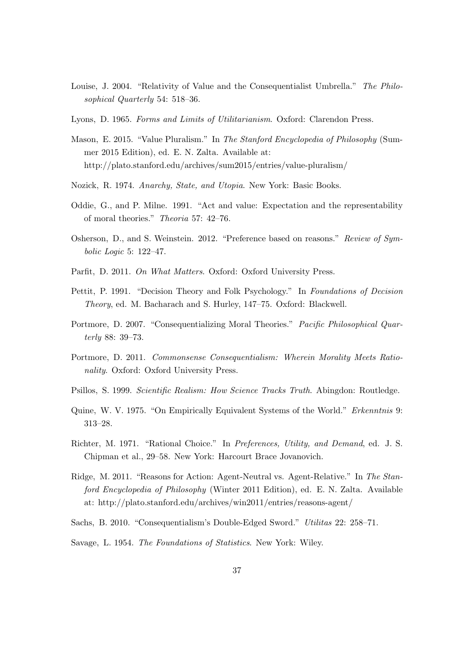- Louise, J. 2004. "Relativity of Value and the Consequentialist Umbrella." *The Philosophical Quarterly* 54: 518–36.
- Lyons, D. 1965. *Forms and Limits of Utilitarianism*. Oxford: Clarendon Press.
- Mason, E. 2015. "Value Pluralism." In *The Stanford Encyclopedia of Philosophy* (Summer 2015 Edition), ed. E. N. Zalta. Available at: http://plato.stanford.edu/archives/sum2015/entries/value-pluralism/
- Nozick, R. 1974. *Anarchy, State, and Utopia*. New York: Basic Books.
- Oddie, G., and P. Milne. 1991. "Act and value: Expectation and the representability of moral theories." *Theoria* 57: 42–76.
- Osherson, D., and S. Weinstein. 2012. "Preference based on reasons." *Review of Symbolic Logic* 5: 122–47.
- Parfit, D. 2011. *On What Matters*. Oxford: Oxford University Press.
- Pettit, P. 1991. "Decision Theory and Folk Psychology." In *Foundations of Decision Theory*, ed. M. Bacharach and S. Hurley, 147–75. Oxford: Blackwell.
- Portmore, D. 2007. "Consequentializing Moral Theories." *Pacific Philosophical Quarterly* 88: 39–73.
- Portmore, D. 2011. *Commonsense Consequentialism: Wherein Morality Meets Rationality*. Oxford: Oxford University Press.
- Psillos, S. 1999. *Scientific Realism: How Science Tracks Truth*. Abingdon: Routledge.
- Quine, W. V. 1975. "On Empirically Equivalent Systems of the World." *Erkenntnis* 9: 313–28.
- Richter, M. 1971. "Rational Choice." In *Preferences, Utility, and Demand*, ed. J. S. Chipman et al., 29–58. New York: Harcourt Brace Jovanovich.
- Ridge, M. 2011. "Reasons for Action: Agent-Neutral vs. Agent-Relative." In *The Stanford Encyclopedia of Philosophy* (Winter 2011 Edition), ed. E. N. Zalta. Available at: http://plato.stanford.edu/archives/win2011/entries/reasons-agent/
- Sachs, B. 2010. "Consequentialism's Double-Edged Sword." *Utilitas* 22: 258–71.
- Savage, L. 1954. *The Foundations of Statistics*. New York: Wiley.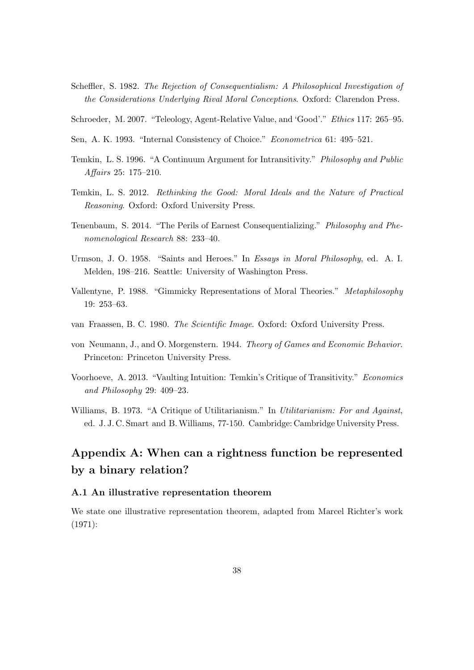- Scheffler, S. 1982. *The Rejection of Consequentialism: A Philosophical Investigation of the Considerations Underlying Rival Moral Conceptions*. Oxford: Clarendon Press.
- Schroeder, M. 2007. "Teleology, Agent-Relative Value, and 'Good'." *Ethics* 117: 265–95.
- Sen, A. K. 1993. "Internal Consistency of Choice." *Econometrica* 61: 495–521.
- Temkin, L. S. 1996. "A Continuum Argument for Intransitivity." *Philosophy and Public A*ff*airs* 25: 175–210.
- Temkin, L. S. 2012. *Rethinking the Good: Moral Ideals and the Nature of Practical Reasoning*. Oxford: Oxford University Press.
- Tenenbaum, S. 2014. "The Perils of Earnest Consequentializing." *Philosophy and Phenomenological Research* 88: 233–40.
- Urmson, J. O. 1958. "Saints and Heroes." In *Essays in Moral Philosophy*, ed. A. I. Melden, 198–216. Seattle: University of Washington Press.
- Vallentyne, P. 1988. "Gimmicky Representations of Moral Theories." *Metaphilosophy* 19: 253–63.
- van Fraassen, B. C. 1980. *The Scientific Image*. Oxford: Oxford University Press.
- von Neumann, J., and O. Morgenstern. 1944. *Theory of Games and Economic Behavior*. Princeton: Princeton University Press.
- Voorhoeve, A. 2013. "Vaulting Intuition: Temkin's Critique of Transitivity." *Economics and Philosophy* 29: 409–23.
- Williams, B. 1973. "A Critique of Utilitarianism." In *Utilitarianism: For and Against*, ed. J. J. C. Smart and B. Williams, 77-150. Cambridge: Cambridge University Press.

## Appendix A: When can a rightness function be represented by a binary relation?

### A.1 An illustrative representation theorem

We state one illustrative representation theorem, adapted from Marcel Richter's work (1971):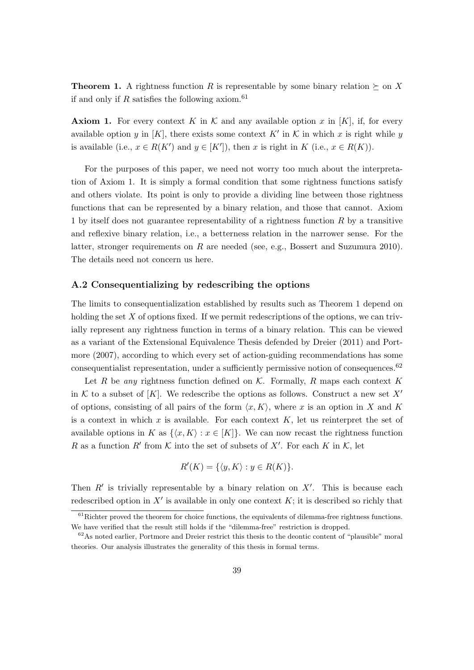**Theorem 1.** A rightness function R is representable by some binary relation  $\succeq$  on X if and only if R satisfies the following axiom.<sup>61</sup>

**Axiom 1.** For every context K in K and any available option x in [K], if, for every available option y in [K], there exists some context K' in K in which x is right while y is available (i.e.,  $x \in R(K')$  and  $y \in [K']$ ), then x is right in K (i.e.,  $x \in R(K)$ ).

For the purposes of this paper, we need not worry too much about the interpretation of Axiom 1. It is simply a formal condition that some rightness functions satisfy and others violate. Its point is only to provide a dividing line between those rightness functions that can be represented by a binary relation, and those that cannot. Axiom 1 by itself does not guarantee representability of a rightness function  $R$  by a transitive and reflexive binary relation, i.e., a betterness relation in the narrower sense. For the latter, stronger requirements on R are needed (see, e.g., Bossert and Suzumura 2010). The details need not concern us here.

### A.2 Consequentializing by redescribing the options

The limits to consequentialization established by results such as Theorem 1 depend on holding the set  $X$  of options fixed. If we permit redescriptions of the options, we can trivially represent any rightness function in terms of a binary relation. This can be viewed as a variant of the Extensional Equivalence Thesis defended by Dreier (2011) and Portmore (2007), according to which every set of action-guiding recommendations has some consequentialist representation, under a sufficiently permissive notion of consequences.<sup>62</sup>

Let R be *any* rightness function defined on  $K$ . Formally, R maps each context K in K to a subset of [K]. We redescribe the options as follows. Construct a new set  $X'$ of options, consisting of all pairs of the form  $\langle x, K \rangle$ , where x is an option in X and K is a context in which x is available. For each context  $K$ , let us reinterpret the set of available options in K as  $\{\langle x, K \rangle : x \in [K]\}.$  We can now recast the rightness function R as a function R' from K into the set of subsets of X'. For each K in K, let

$$
R'(K) = \{ \langle y, K \rangle : y \in R(K) \}.
$$

Then  $R'$  is trivially representable by a binary relation on  $X'$ . This is because each redescribed option in X' is available in only one context  $K$ ; it is described so richly that

 $61$ Richter proved the theorem for choice functions, the equivalents of dilemma-free rightness functions. We have verified that the result still holds if the "dilemma-free" restriction is dropped.

 $62\text{ As}$  noted earlier, Portmore and Dreier restrict this thesis to the deontic content of "plausible" moral theories. Our analysis illustrates the generality of this thesis in formal terms.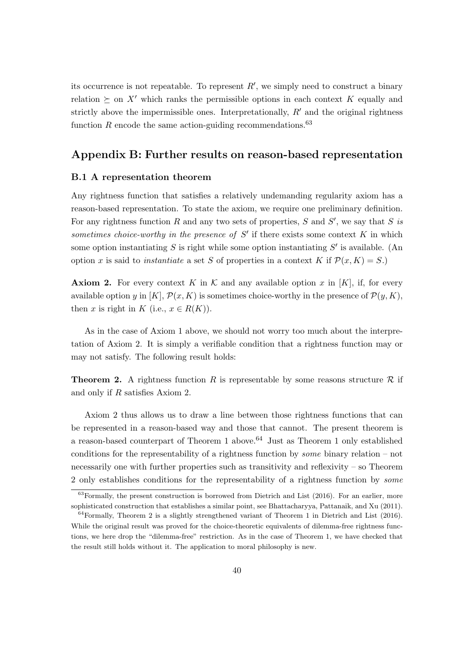its occurrence is not repeatable. To represent  $R'$ , we simply need to construct a binary relation  $\succeq$  on X' which ranks the permissible options in each context K equally and strictly above the impermissible ones. Interpretationally,  $R'$  and the original rightness function  $R$  encode the same action-guiding recommendations.<sup>63</sup>

### Appendix B: Further results on reason-based representation

### B.1 A representation theorem

Any rightness function that satisfies a relatively undemanding regularity axiom has a reason-based representation. To state the axiom, we require one preliminary definition. For any rightness function  $R$  and any two sets of properties,  $S$  and  $S'$ , we say that  $S$  *is* sometimes choice-worthy in the presence of  $S'$  if there exists some context  $K$  in which some option instantiating  $S$  is right while some option instantiating  $S'$  is available. (An option x is said to *instantiate* a set S of properties in a context K if  $\mathcal{P}(x, K) = S$ .)

**Axiom 2.** For every context K in K and any available option x in [K], if, for every available option y in [K],  $\mathcal{P}(x, K)$  is sometimes choice-worthy in the presence of  $\mathcal{P}(y, K)$ , then x is right in K (i.e.,  $x \in R(K)$ ).

As in the case of Axiom 1 above, we should not worry too much about the interpretation of Axiom 2. It is simply a verifiable condition that a rightness function may or may not satisfy. The following result holds:

**Theorem 2.** A rightness function R is representable by some reasons structure R if and only if R satisfies Axiom 2.

Axiom 2 thus allows us to draw a line between those rightness functions that can be represented in a reason-based way and those that cannot. The present theorem is a reason-based counterpart of Theorem 1 above.<sup>64</sup> Just as Theorem 1 only established conditions for the representability of a rightness function by *some* binary relation – not necessarily one with further properties such as transitivity and reflexivity – so Theorem 2 only establishes conditions for the representability of a rightness function by *some*

 $63$  Formally, the present construction is borrowed from Dietrich and List (2016). For an earlier, more sophisticated construction that establishes a similar point, see Bhattacharyya, Pattanaik, and Xu (2011).

 $64$  Formally, Theorem 2 is a slightly strengthened variant of Theorem 1 in Dietrich and List (2016). While the original result was proved for the choice-theoretic equivalents of dilemma-free rightness functions, we here drop the "dilemma-free" restriction. As in the case of Theorem 1, we have checked that the result still holds without it. The application to moral philosophy is new.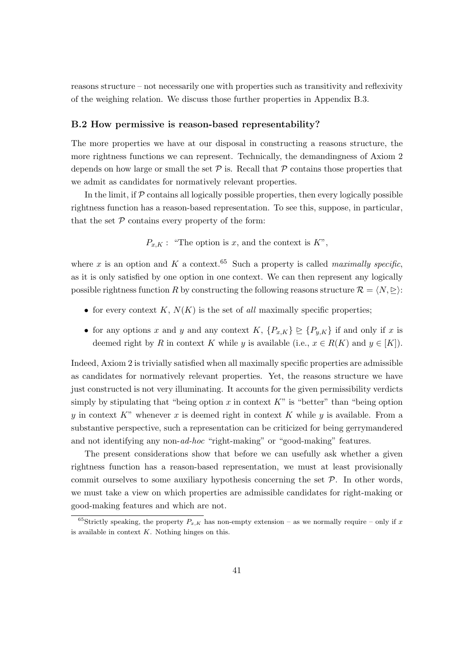reasons structure – not necessarily one with properties such as transitivity and reflexivity of the weighing relation. We discuss those further properties in Appendix B.3.

#### B.2 How permissive is reason-based representability?

The more properties we have at our disposal in constructing a reasons structure, the more rightness functions we can represent. Technically, the demandingness of Axiom 2 depends on how large or small the set  $P$  is. Recall that  $P$  contains those properties that we admit as candidates for normatively relevant properties.

In the limit, if  $P$  contains all logically possible properties, then every logically possible rightness function has a reason-based representation. To see this, suppose, in particular, that the set  $P$  contains every property of the form:

 $P_{x,K}$ : "The option is x, and the context is  $K$ ",

where x is an option and K a context.<sup>65</sup> Such a property is called *maximally specific*, as it is only satisfied by one option in one context. We can then represent any logically possible rightness function R by constructing the following reasons structure  $\mathcal{R} = \langle N, \geq \rangle$ :

- for every context  $K, N(K)$  is the set of *all* maximally specific properties;
- for any options x and y and any context K,  $\{P_{x,K}\}\subseteq \{P_{y,K}\}\$ if and only if x is deemed right by R in context K while y is available (i.e.,  $x \in R(K)$  and  $y \in [K]$ ).

Indeed, Axiom 2 is trivially satisfied when all maximally specific properties are admissible as candidates for normatively relevant properties. Yet, the reasons structure we have just constructed is not very illuminating. It accounts for the given permissibility verdicts simply by stipulating that "being option  $x$  in context  $K$ " is "better" than "being option y in context K" whenever x is deemed right in context K while y is available. From a substantive perspective, such a representation can be criticized for being gerrymandered and not identifying any non-*ad-hoc* "right-making" or "good-making" features.

The present considerations show that before we can usefully ask whether a given rightness function has a reason-based representation, we must at least provisionally commit ourselves to some auxiliary hypothesis concerning the set  $P$ . In other words, we must take a view on which properties are admissible candidates for right-making or good-making features and which are not.

<sup>&</sup>lt;sup>65</sup>Strictly speaking, the property  $P_{x,K}$  has non-empty extension – as we normally require – only if x is available in context  $K$ . Nothing hinges on this.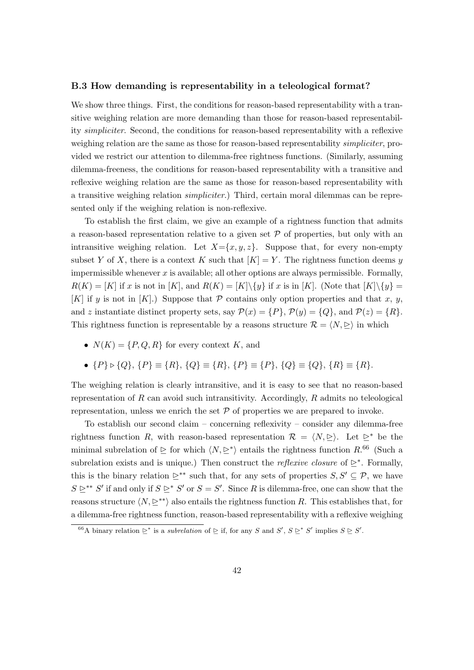#### B.3 How demanding is representability in a teleological format?

We show three things. First, the conditions for reason-based representability with a transitive weighing relation are more demanding than those for reason-based representability *simpliciter*. Second, the conditions for reason-based representability with a reflexive weighing relation are the same as those for reason-based representability *simpliciter*, provided we restrict our attention to dilemma-free rightness functions. (Similarly, assuming dilemma-freeness, the conditions for reason-based representability with a transitive and reflexive weighing relation are the same as those for reason-based representability with a transitive weighing relation *simpliciter*.) Third, certain moral dilemmas can be represented only if the weighing relation is non-reflexive.

To establish the first claim, we give an example of a rightness function that admits a reason-based representation relative to a given set  $\mathcal P$  of properties, but only with an intransitive weighing relation. Let  $X = \{x, y, z\}$ . Suppose that, for every non-empty subset Y of X, there is a context K such that  $[K] = Y$ . The rightness function deems y impermissible whenever  $x$  is available; all other options are always permissible. Formally,  $R(K)=[K]$  if x is not in  $[K]$ , and  $R(K)=K[\{y\}]$  if x is in  $[K]$ . (Note that  $[K]\{y\} =$ [K] if y is not in [K].) Suppose that  $P$  contains only option properties and that x, y, and z instantiate distinct property sets, say  $\mathcal{P}(x) = \{P\}, \mathcal{P}(y) = \{Q\},\$ and  $\mathcal{P}(z) = \{R\}.$ This rightness function is representable by a reasons structure  $\mathcal{R} = \langle N, \geq \rangle$  in which

•  $N(K) = \{P, Q, R\}$  for every context K, and

• 
$$
\{P\} \triangleright \{Q\}, \{P\} \equiv \{R\}, \{Q\} \equiv \{R\}, \{P\} \equiv \{P\}, \{Q\} \equiv \{Q\}, \{R\} \equiv \{R\}.
$$

The weighing relation is clearly intransitive, and it is easy to see that no reason-based representation of  $R$  can avoid such intransitivity. Accordingly,  $R$  admits no teleological representation, unless we enrich the set  $P$  of properties we are prepared to invoke.

To establish our second claim – concerning reflexivity – consider any dilemma-free rightness function R, with reason-based representation  $\mathcal{R} = \langle N, \triangleright\rangle$ . Let  $\triangleright$ <sup>\*</sup> be the minimal subrelation of  $\geq$  for which  $\langle N, \geq^* \rangle$  entails the rightness function R.<sup>66</sup> (Such a subrelation exists and is unique.) Then construct the *reflexive closure* of  $\geq^*$ . Formally, this is the binary relation  $\triangleright^{**}$  such that, for any sets of properties  $S, S' \subset \mathcal{P}$ , we have  $S \geq^* S'$  if and only if  $S \geq^* S'$  or  $S = S'$ . Since R is dilemma-free, one can show that the reasons structure  $\langle N, \triangleright^{**} \rangle$  also entails the rightness function R. This establishes that, for a dilemma-free rightness function, reason-based representability with a reflexive weighing

<sup>&</sup>lt;sup>66</sup>A binary relation  $\geq^*$  is a *subrelation* of  $\geq$  if, for any S and S',  $S \geq^* S'$  implies  $S \geq S'$ .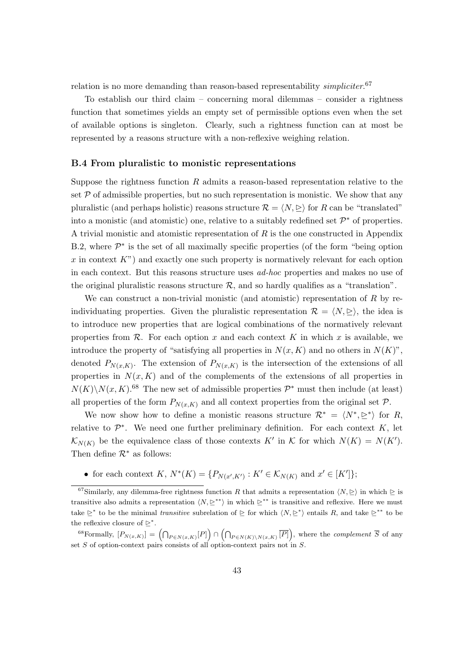relation is no more demanding than reason-based representability *simpliciter*. 67

To establish our third claim – concerning moral dilemmas – consider a rightness function that sometimes yields an empty set of permissible options even when the set of available options is singleton. Clearly, such a rightness function can at most be represented by a reasons structure with a non-reflexive weighing relation.

### B.4 From pluralistic to monistic representations

Suppose the rightness function  $R$  admits a reason-based representation relative to the set  $P$  of admissible properties, but no such representation is monistic. We show that any pluralistic (and perhaps holistic) reasons structure  $\mathcal{R} = \langle N, \triangleright \rangle$  for R can be "translated" into a monistic (and atomistic) one, relative to a suitably redefined set  $\mathcal{P}^*$  of properties. A trivial monistic and atomistic representation of  $R$  is the one constructed in Appendix B.2, where  $\mathcal{P}^*$  is the set of all maximally specific properties (of the form "being option" x in context  $K$ ") and exactly one such property is normatively relevant for each option in each context. But this reasons structure uses *ad-hoc* properties and makes no use of the original pluralistic reasons structure  $\mathcal{R}$ , and so hardly qualifies as a "translation".

We can construct a non-trivial monistic (and atomistic) representation of  $R$  by reindividuating properties. Given the pluralistic representation  $\mathcal{R} = \langle N, \triangleright \rangle$ , the idea is to introduce new properties that are logical combinations of the normatively relevant properties from  $R$ . For each option x and each context K in which x is available, we introduce the property of "satisfying all properties in  $N(x, K)$  and no others in  $N(K)$ ", denoted  $P_{N(x,K)}$ . The extension of  $P_{N(x,K)}$  is the intersection of the extensions of all properties in  $N(x, K)$  and of the complements of the extensions of all properties in  $N(K)\backslash N(x, K)$ .<sup>68</sup> The new set of admissible properties  $\mathcal{P}^*$  must then include (at least) all properties of the form  $P_{N(x,K)}$  and all context properties from the original set  $\mathcal{P}$ .

We now show how to define a monistic reasons structure  $\mathcal{R}^* = \langle N^*, \geq^* \rangle$  for R, relative to  $\mathcal{P}^*$ . We need one further preliminary definition. For each context K, let  $\mathcal{K}_{N(K)}$  be the equivalence class of those contexts K' in K for which  $N(K) = N(K')$ . Then define  $\mathcal{R}^*$  as follows:

• for each context  $K, N^*(K) = \{P_{N(x', K')}: K' \in \mathcal{K}_{N(K)} \text{ and } x' \in [K']\};$ 

<sup>68</sup> Formally,  $[P_{N(x,K)}] = (\bigcap_{P \in N(x,K)}[P]\bigcap \left(\bigcap_{P \in N(K) \setminus N(x,K)}\overline{[P]}\right)$ , where the *complement*  $\overline{S}$  of any set S of option-context pairs consists of all option-context pairs not in  $S$ .

<sup>&</sup>lt;sup>67</sup>Similarly, any dilemma-free rightness function R that admits a representation  $\langle N, \geq \rangle$  in which  $\geq$  is transitive also admits a representation  $\langle N, \underline{\triangleright}^{**} \rangle$  in which  $\underline{\triangleright}^{**}$  is transitive and reflexive. Here we must take  $\geq^*$  to be the minimal *transitive* subrelation of  $\geq$  for which  $\langle N, \geq^* \rangle$  entails R, and take  $\geq^{**}$  to be the reflexive closure of  $\geq^*$ .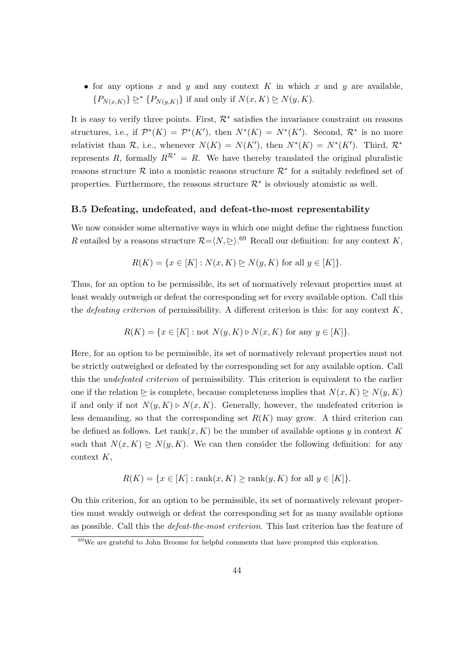• for any options x and y and any context K in which x and y are available,  ${P_{N(x,K)}} \geq^* {P_{N(y,K)}}$  if and only if  $N(x,K) \geq N(y,K)$ .

It is easy to verify three points. First,  $\mathcal{R}^*$  satisfies the invariance constraint on reasons structures, i.e., if  $\mathcal{P}^*(K) = \mathcal{P}^*(K')$ , then  $N^*(K) = N^*(K')$ . Second,  $\mathcal{R}^*$  is no more relativist than R, i.e., whenever  $N(K) = N(K')$ , then  $N^*(K) = N^*(K')$ . Third,  $\mathcal{R}^*$ represents R, formally  $R^{\mathcal{R}^*} = R$ . We have thereby translated the original pluralistic reasons structure R into a monistic reasons structure  $\mathcal{R}^*$  for a suitably redefined set of properties. Furthermore, the reasons structure  $\mathcal{R}^*$  is obviously atomistic as well.

### B.5 Defeating, undefeated, and defeat-the-most representability

We now consider some alternative ways in which one might define the rightness function R entailed by a reasons structure  $\mathcal{R}=\langle N,\triangleright\rangle^{.69}$  Recall our definition: for any context K,

$$
R(K) = \{ x \in [K] : N(x, K) \ge N(y, K) \text{ for all } y \in [K] \}.
$$

Thus, for an option to be permissible, its set of normatively relevant properties must at least weakly outweigh or defeat the corresponding set for every available option. Call this the *defeating criterion* of permissibility. A different criterion is this: for any context  $K$ ,

$$
R(K) = \{ x \in [K] : \text{not } N(y, K) \triangleright N(x, K) \text{ for any } y \in [K] \}.
$$

Here, for an option to be permissible, its set of normatively relevant properties must not be strictly outweighed or defeated by the corresponding set for any available option. Call this the *undefeated criterion* of permissibility. This criterion is equivalent to the earlier one if the relation  $\geq$  is complete, because completeness implies that  $N(x, K) \geq N(y, K)$ if and only if not  $N(y, K) \triangleright N(x, K)$ . Generally, however, the undefeated criterion is less demanding, so that the corresponding set  $R(K)$  may grow. A third criterion can be defined as follows. Let  $rank(x, K)$  be the number of available options y in context K such that  $N(x, K) \geq N(y, K)$ . We can then consider the following definition: for any context  $K$ ,

$$
R(K) = \{ x \in [K] : \text{rank}(x, K) \ge \text{rank}(y, K) \text{ for all } y \in [K] \}.
$$

On this criterion, for an option to be permissible, its set of normatively relevant properties must weakly outweigh or defeat the corresponding set for as many available options as possible. Call this the *defeat-the-most criterion*. This last criterion has the feature of

<sup>69</sup>We are grateful to John Broome for helpful comments that have prompted this exploration.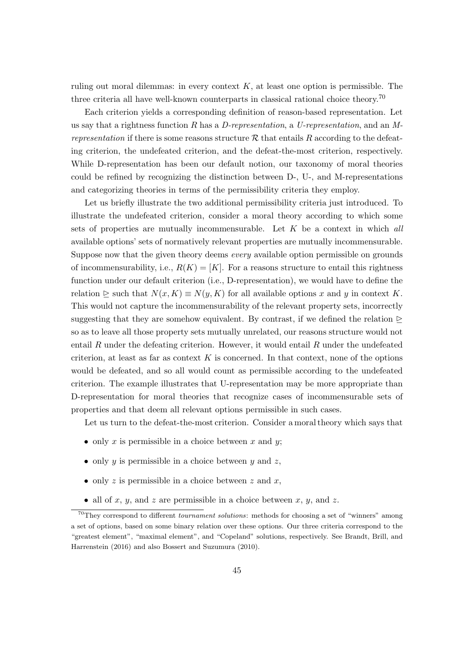ruling out moral dilemmas: in every context  $K$ , at least one option is permissible. The three criteria all have well-known counterparts in classical rational choice theory.<sup>70</sup>

Each criterion yields a corresponding definition of reason-based representation. Let us say that a rightness function R has a *D-representation*, a *U-representation*, and an *Mrepresentation* if there is some reasons structure  $R$  that entails R according to the defeating criterion, the undefeated criterion, and the defeat-the-most criterion, respectively. While D-representation has been our default notion, our taxonomy of moral theories could be refined by recognizing the distinction between D-, U-, and M-representations and categorizing theories in terms of the permissibility criteria they employ.

Let us briefly illustrate the two additional permissibility criteria just introduced. To illustrate the undefeated criterion, consider a moral theory according to which some sets of properties are mutually incommensurable. Let K be a context in which *all* available options' sets of normatively relevant properties are mutually incommensurable. Suppose now that the given theory deems *every* available option permissible on grounds of incommensurability, i.e.,  $R(K)=[K]$ . For a reasons structure to entail this rightness function under our default criterion (i.e., D-representation), we would have to define the relation  $\triangleright$  such that  $N(x, K) \equiv N(y, K)$  for all available options x and y in context K. This would not capture the incommensurability of the relevant property sets, incorrectly suggesting that they are somehow equivalent. By contrast, if we defined the relation  $\triangleright$ so as to leave all those property sets mutually unrelated, our reasons structure would not entail R under the defeating criterion. However, it would entail R under the undefeated criterion, at least as far as context  $K$  is concerned. In that context, none of the options would be defeated, and so all would count as permissible according to the undefeated criterion. The example illustrates that U-representation may be more appropriate than D-representation for moral theories that recognize cases of incommensurable sets of properties and that deem all relevant options permissible in such cases.

Let us turn to the defeat-the-most criterion. Consider a moral theory which says that

- only x is permissible in a choice between x and y;
- only  $y$  is permissible in a choice between  $y$  and  $z$ ,
- only z is permissible in a choice between z and x,
- all of  $x, y$ , and  $z$  are permissible in a choice between  $x, y$ , and  $z$ .

 $^{70}$ They correspond to different *tournament solutions*: methods for choosing a set of "winners" among a set of options, based on some binary relation over these options. Our three criteria correspond to the "greatest element", "maximal element", and "Copeland" solutions, respectively. See Brandt, Brill, and Harrenstein (2016) and also Bossert and Suzumura (2010).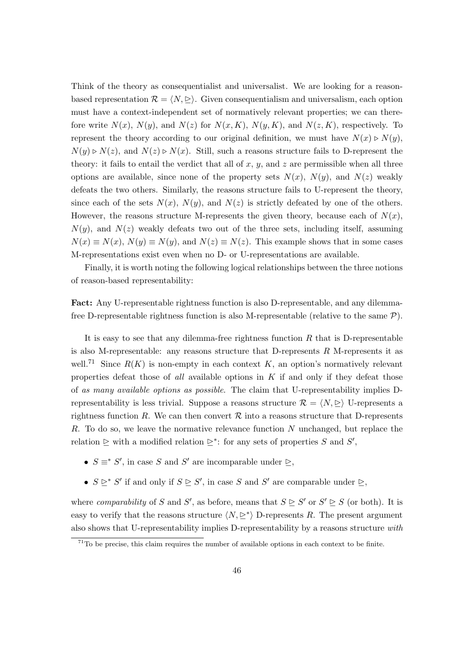Think of the theory as consequentialist and universalist. We are looking for a reasonbased representation  $\mathcal{R} = \langle N, \geq \rangle$ . Given consequentialism and universalism, each option must have a context-independent set of normatively relevant properties; we can therefore write  $N(x)$ ,  $N(y)$ , and  $N(z)$  for  $N(x, K)$ ,  $N(y, K)$ , and  $N(z, K)$ , respectively. To represent the theory according to our original definition, we must have  $N(x) \triangleright N(y)$ ,  $N(y) \triangleright N(z)$ , and  $N(z) \triangleright N(x)$ . Still, such a reasons structure fails to D-represent the theory: it fails to entail the verdict that all of x, y, and z are permissible when all three options are available, since none of the property sets  $N(x)$ ,  $N(y)$ , and  $N(z)$  weakly defeats the two others. Similarly, the reasons structure fails to U-represent the theory, since each of the sets  $N(x)$ ,  $N(y)$ , and  $N(z)$  is strictly defeated by one of the others. However, the reasons structure M-represents the given theory, because each of  $N(x)$ ,  $N(y)$ , and  $N(z)$  weakly defeats two out of the three sets, including itself, assuming  $N(x) \equiv N(x)$ ,  $N(y) \equiv N(y)$ , and  $N(z) \equiv N(z)$ . This example shows that in some cases M-representations exist even when no D- or U-representations are available.

Finally, it is worth noting the following logical relationships between the three notions of reason-based representability:

Fact: Any U-representable rightness function is also D-representable, and any dilemmafree D-representable rightness function is also M-representable (relative to the same  $\mathcal{P}$ ).

It is easy to see that any dilemma-free rightness function  $R$  that is D-representable is also M-representable: any reasons structure that D-represents  $R$  M-represents it as well.<sup>71</sup> Since  $R(K)$  is non-empty in each context K, an option's normatively relevant properties defeat those of *all* available options in K if and only if they defeat those of *as many available options as possible*. The claim that U-representability implies Drepresentability is less trivial. Suppose a reasons structure  $\mathcal{R} = \langle N, \ge \rangle$  U-represents a rightness function R. We can then convert  $R$  into a reasons structure that D-represents R. To do so, we leave the normative relevance function  $N$  unchanged, but replace the relation  $\trianglerighteq$  with a modified relation  $\trianglerighteq^*$ : for any sets of properties S and S',

- $S \equiv^* S'$ , in case S and S' are incomparable under  $\geq$ ,
- $S \trianglerighteq^* S'$  if and only if  $S \trianglerighteq S'$ , in case S and S' are comparable under  $\trianglerighteq$ ,

where *comparability* of S and S', as before, means that  $S \subseteq S'$  or  $S' \subseteq S$  (or both). It is easy to verify that the reasons structure  $\langle N, \geq^* \rangle$  D-represents R. The present argument also shows that U-representability implies D-representability by a reasons structure *with*

 $71$ To be precise, this claim requires the number of available options in each context to be finite.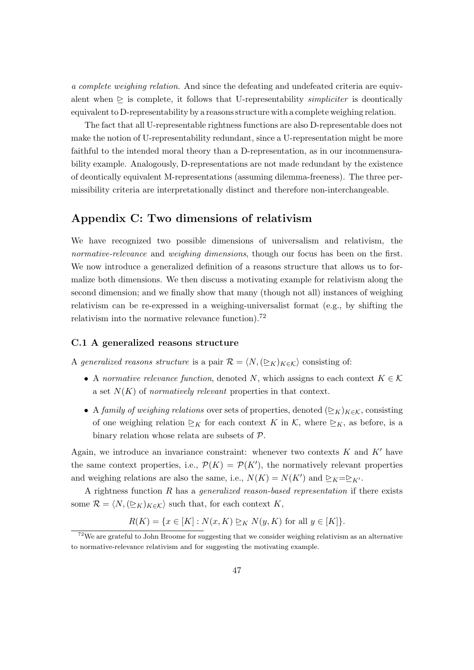*a complete weighing relation*. And since the defeating and undefeated criteria are equivalent when  $\geq$  is complete, it follows that U-representability *simpliciter* is deontically equivalent to D-representability by a reasons structure with a complete weighing relation.

The fact that all U-representable rightness functions are also D-representable does not make the notion of U-representability redundant, since a U-representation might be more faithful to the intended moral theory than a D-representation, as in our incommensurability example. Analogously, D-representations are not made redundant by the existence of deontically equivalent M-representations (assuming dilemma-freeness). The three permissibility criteria are interpretationally distinct and therefore non-interchangeable.

### Appendix C: Two dimensions of relativism

We have recognized two possible dimensions of universalism and relativism, the *normative-relevance* and *weighing dimensions*, though our focus has been on the first. We now introduce a generalized definition of a reasons structure that allows us to formalize both dimensions. We then discuss a motivating example for relativism along the second dimension; and we finally show that many (though not all) instances of weighing relativism can be re-expressed in a weighing-universalist format (e.g., by shifting the relativism into the normative relevance function).<sup>72</sup>

### C.1 A generalized reasons structure

A *generalized reasons structure* is a pair  $\mathcal{R} = \langle N, (\succeq_K)_{K \in \mathcal{K}} \rangle$  consisting of:

- A *normative relevance function*, denoted N, which assigns to each context  $K \in \mathcal{K}$ a set N(K) of *normatively relevant* properties in that context.
- A *family of weighing relations* over sets of properties, denoted  $(\geq_K)_{K \in \mathcal{K}}$ , consisting of one weighing relation  $\geq_K$  for each context K in K, where  $\geq_K$ , as before, is a binary relation whose relata are subsets of P.

Again, we introduce an invariance constraint: whenever two contexts  $K$  and  $K'$  have the same context properties, i.e.,  $\mathcal{P}(K) = \mathcal{P}(K')$ , the normatively relevant properties and weighing relations are also the same, i.e.,  $N(K) = N(K')$  and  $\supseteq_K = \supseteq_{K'}$ .

A rightness function R has a *generalized reason-based representation* if there exists some  $\mathcal{R} = \langle N,(\Sigma_K)_{K\in\mathcal{K}}\rangle$  such that, for each context K,

 $R(K) = \{x \in [K] : N(x, K) \trianglerighteq_K N(y, K) \text{ for all } y \in [K] \}.$ 

 $72$ We are grateful to John Broome for suggesting that we consider weighing relativism as an alternative to normative-relevance relativism and for suggesting the motivating example.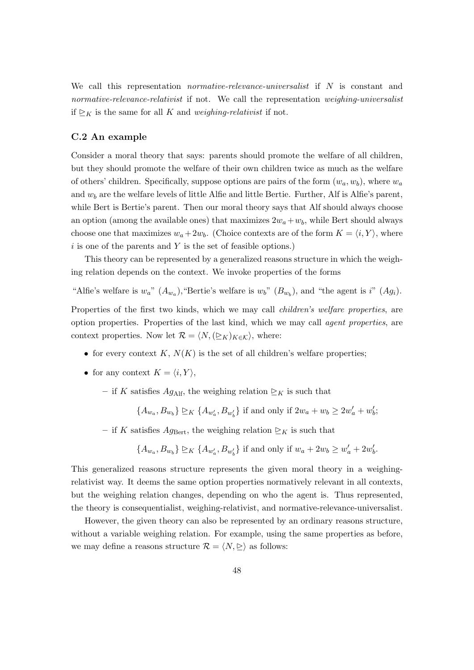We call this representation *normative-relevance-universalist* if N is constant and *normative-relevance-relativist* if not. We call the representation *weighing-universalist* if  $\geq_K$  is the same for all K and *weighing-relativist* if not.

### C.2 An example

Consider a moral theory that says: parents should promote the welfare of all children, but they should promote the welfare of their own children twice as much as the welfare of others' children. Specifically, suppose options are pairs of the form  $(w_a, w_b)$ , where  $w_a$ and  $w<sub>b</sub>$  are the welfare levels of little Alfie and little Bertie. Further, Alf is Alfie's parent, while Bert is Bertie's parent. Then our moral theory says that Alf should always choose an option (among the available ones) that maximizes  $2w_a + w_b$ , while Bert should always choose one that maximizes  $w_a + 2w_b$ . (Choice contexts are of the form  $K = \langle i, Y \rangle$ , where  $i$  is one of the parents and Y is the set of feasible options.)

This theory can be represented by a generalized reasons structure in which the weighing relation depends on the context. We invoke properties of the forms

"Alfie's welfare is  $w_a$ "  $(A_{w_a})$ , "Bertie's welfare is  $w_b$ "  $(B_{w_b})$ , and "the agent is i"  $(Ag_i)$ .

Properties of the first two kinds, which we may call *children's welfare properties*, are option properties. Properties of the last kind, which we may call *agent properties*, are context properties. Now let  $\mathcal{R} = \langle N,(\Sigma_K)_{K\in\mathcal{K}}\rangle$ , where:

- for every context  $K, N(K)$  is the set of all children's welfare properties;
- for any context  $K = \langle i, Y \rangle$ ,
	- if K satisfies  $Ag_{\text{Alf}}$ , the weighing relation  $\trianglerighteq_K$  is such that

 ${A_{w_a}, B_{w_b}} \geq K \{A_{w'_a}, B_{w'_b}\}$  if and only if  $2w_a + w_b \geq 2w'_a + w'_b$  $'_{b}$ ;

– if K satisfies  $Ag_{\text{Bert}}$ , the weighing relation  $\triangleright_K$  is such that

$$
\{A_{w_a}, B_{w_b}\} \trianglerighteq_K \{A_{w'_a}, B_{w'_b}\} \text{ if and only if } w_a + 2w_b \ge w'_a + 2w'_b.
$$

This generalized reasons structure represents the given moral theory in a weighingrelativist way. It deems the same option properties normatively relevant in all contexts, but the weighing relation changes, depending on who the agent is. Thus represented, the theory is consequentialist, weighing-relativist, and normative-relevance-universalist.

However, the given theory can also be represented by an ordinary reasons structure, without a variable weighing relation. For example, using the same properties as before, we may define a reasons structure  $\mathcal{R} = \langle N, \triangleright \rangle$  as follows: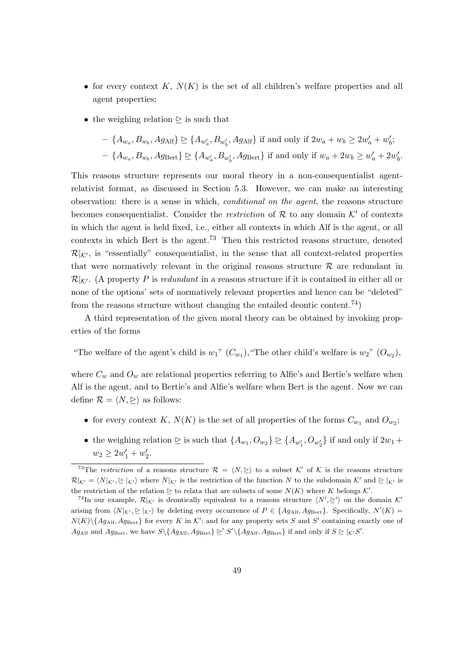- for every context  $K, N(K)$  is the set of all children's welfare properties and all agent properties;
- the weighing relation  $\geq$  is such that

$$
- \{A_{w_a}, B_{w_b}, Ag_{\text{Alf}}\} \trianglerighteq \{A_{w'_a}, B_{w'_b}, Ag_{\text{Alf}}\} \text{ if and only if } 2w_a + w_b \ge 2w'_a + w'_b; - \{A_{w_a}, B_{w_b}, Ag_{\text{Bert}}\} \trianglerighteq \{A_{w'_a}, B_{w'_b}, Ag_{\text{Bert}}\} \text{ if and only if } w_a + 2w_b \ge w'_a + 2w'_b.
$$

This reasons structure represents our moral theory in a non-consequentialist agentrelativist format, as discussed in Section 5.3. However, we can make an interesting observation: there is a sense in which, *conditional on the agent*, the reasons structure becomes consequentialist. Consider the *restriction* of  $\mathcal R$  to any domain  $\mathcal K'$  of contexts in which the agent is held fixed, i.e., either all contexts in which Alf is the agent, or all contexts in which Bert is the agent.<sup>73</sup> Then this restricted reasons structure, denoted  $\mathcal{R}|_{\mathcal{K}'}$ , is "essentially" consequentialist, in the sense that all context-related properties that were normatively relevant in the original reasons structure  $\mathcal R$  are redundant in  $\mathcal{R}|_{\mathcal{K}'}$ . (A property P is *redundant* in a reasons structure if it is contained in either all or none of the options' sets of normatively relevant properties and hence can be "deleted" from the reasons structure without changing the entailed deontic content.<sup>74</sup>)

A third representation of the given moral theory can be obtained by invoking properties of the forms

"The welfare of the agent's child is  $w_1$ "  $(C_{w_1})$ , "The other child's welfare is  $w_2$ "  $(O_{w_2})$ ,

where  $C_w$  and  $O_w$  are relational properties referring to Alfie's and Bertie's welfare when Alf is the agent, and to Bertie's and Alfie's welfare when Bert is the agent. Now we can define  $\mathcal{R} = \langle N, \triangleright \rangle$  as follows:

- for every context K,  $N(K)$  is the set of all properties of the forms  $C_{w_1}$  and  $O_{w_2}$ ;
- the weighing relation  $\geq$  is such that  $\{A_{w_1}, O_{w_2}\} \subseteq \{A_{w'_1}, O_{w'_2}\}$  if and only if  $2w_1 +$  $w_2 \geq 2w'_1 + w'_2$  $\frac{1}{2}$ .

<sup>&</sup>lt;sup>73</sup>The restriction of a reasons structure  $\mathcal{R} = \langle N, \ge \rangle$  to a subset K' of K is the reasons structure  $\mathcal{R}|_{\mathcal{K}'} = \langle N|_{\mathcal{K}'}, \geq |_{\mathcal{K}'}\rangle$  where  $N|_{\mathcal{K}'}$  is the restriction of the function N to the subdomain  $\mathcal{K}'$  and  $\geq |\mathcal{K}'|$  is the restriction of the relation  $\geq$  to relata that are subsets of some  $N(K)$  where K belongs K'.

<sup>&</sup>lt;sup>74</sup>In our example,  $\mathcal{R}|_{\mathcal{K}'}$  is deontically equivalent to a reasons structure  $\langle N', \geq' \rangle$  on the domain  $\mathcal{K}'$ arising from  $\langle N |_{K'} \rangle \geq |\kappa \rangle$  by deleting every occurrence of  $P \in \{Ag_{\text{Alf}}, Ag_{\text{Bert}}\}.$  Specifically,  $N'(K)$  $N(K)\backslash\{Ag_{\text{Alf}}, Ag_{\text{Bert}}\}$  for every K in K'; and for any property sets S and S' containing exactly one of Ag<sub>Alf</sub> and Ag<sub>Bert</sub>, we have  $S \setminus \{Ag_{\text{Alf}}, Ag_{\text{Bert}}\} \subseteq' S' \setminus \{Ag_{\text{Alf}}, Ag_{\text{Bert}}\}$  if and only if  $S \subseteq |\kappa S'|$ .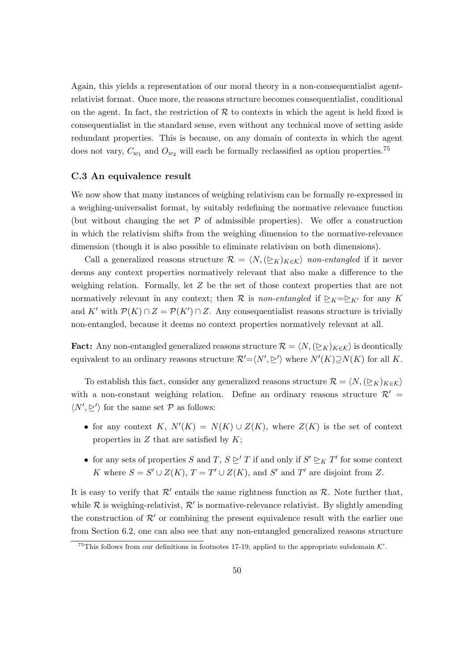Again, this yields a representation of our moral theory in a non-consequentialist agentrelativist format. Once more, the reasons structure becomes consequentialist, conditional on the agent. In fact, the restriction of  $R$  to contexts in which the agent is held fixed is consequentialist in the standard sense, even without any technical move of setting aside redundant properties. This is because, on any domain of contexts in which the agent does not vary,  $C_{w_1}$  and  $O_{w_2}$  will each be formally reclassified as option properties.<sup>75</sup>

#### C.3 An equivalence result

We now show that many instances of weighing relativism can be formally re-expressed in a weighing-universalist format, by suitably redefining the normative relevance function (but without changing the set  $P$  of admissible properties). We offer a construction in which the relativism shifts from the weighing dimension to the normative-relevance dimension (though it is also possible to eliminate relativism on both dimensions).

Call a generalized reasons structure  $\mathcal{R} = \langle N,(\succeq_K)_{K\in\mathcal{K}}\rangle$  *non-entangled* if it never deems any context properties normatively relevant that also make a difference to the weighing relation. Formally, let Z be the set of those context properties that are not normatively relevant in any context; then R is *non-entangled* if  $\geq K=\geq K'$  for any K and K' with  $\mathcal{P}(K) \cap Z = \mathcal{P}(K') \cap Z$ . Any consequentialist reasons structure is trivially non-entangled, because it deems no context properties normatively relevant at all.

**Fact:** Any non-entangled generalized reasons structure  $\mathcal{R} = \langle N,(\succeq_K)_{K\in\mathcal{K}}\rangle$  is deontically equivalent to an ordinary reasons structure  $\mathcal{R}'{=}\langle N', \trianglerighteq' \rangle$  where  $N'(K) \supseteq N(K)$  for all K.

To establish this fact, consider any generalized reasons structure  $\mathcal{R} = \langle N, (\triangleright_K)_{K \in \mathcal{K}} \rangle$ with a non-constant weighing relation. Define an ordinary reasons structure  $\mathcal{R}'$  =  $\langle N', \underline{\triangleright} \rangle$  for the same set  $P$  as follows:

- for any context K,  $N'(K) = N(K) \cup Z(K)$ , where  $Z(K)$  is the set of context properties in  $Z$  that are satisfied by  $K$ ;
- for any sets of properties S and T,  $S \succeq' T$  if and only if  $S' \succeq_K T'$  for some context K where  $S = S' \cup Z(K)$ ,  $T = T' \cup Z(K)$ , and S' and T' are disjoint from Z.

It is easy to verify that  $\mathcal{R}'$  entails the same rightness function as  $\mathcal{R}$ . Note further that, while  $R$  is weighing-relativist,  $R'$  is normative-relevance relativist. By slightly amending the construction of  $\mathcal{R}'$  or combining the present equivalence result with the earlier one from Section 6.2, one can also see that any non-entangled generalized reasons structure

<sup>&</sup>lt;sup>75</sup>This follows from our definitions in footnotes 17-19, applied to the appropriate subdomain  $K'$ .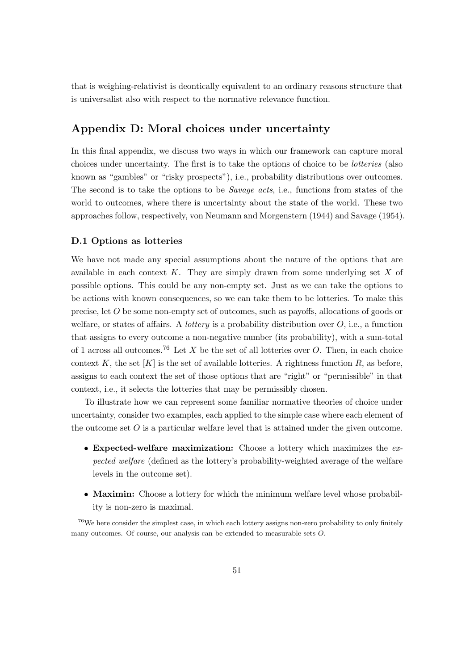that is weighing-relativist is deontically equivalent to an ordinary reasons structure that is universalist also with respect to the normative relevance function.

### Appendix D: Moral choices under uncertainty

In this final appendix, we discuss two ways in which our framework can capture moral choices under uncertainty. The first is to take the options of choice to be *lotteries* (also known as "gambles" or "risky prospects"), i.e., probability distributions over outcomes. The second is to take the options to be *Savage acts*, i.e., functions from states of the world to outcomes, where there is uncertainty about the state of the world. These two approaches follow, respectively, von Neumann and Morgenstern (1944) and Savage (1954).

### D.1 Options as lotteries

We have not made any special assumptions about the nature of the options that are available in each context  $K$ . They are simply drawn from some underlying set  $X$  of possible options. This could be any non-empty set. Just as we can take the options to be actions with known consequences, so we can take them to be lotteries. To make this precise, let O be some non-empty set of outcomes, such as payoffs, allocations of goods or welfare, or states of affairs. A *lottery* is a probability distribution over O, i.e., a function that assigns to every outcome a non-negative number (its probability), with a sum-total of 1 across all outcomes.<sup>76</sup> Let X be the set of all lotteries over O. Then, in each choice context K, the set  $[K]$  is the set of available lotteries. A rightness function R, as before, assigns to each context the set of those options that are "right" or "permissible" in that context, i.e., it selects the lotteries that may be permissibly chosen.

To illustrate how we can represent some familiar normative theories of choice under uncertainty, consider two examples, each applied to the simple case where each element of the outcome set  $O$  is a particular welfare level that is attained under the given outcome.

- Expected-welfare maximization: Choose a lottery which maximizes the *expected welfare* (defined as the lottery's probability-weighted average of the welfare levels in the outcome set).
- Maximin: Choose a lottery for which the minimum welfare level whose probability is non-zero is maximal.

 $^{76}$ We here consider the simplest case, in which each lottery assigns non-zero probability to only finitely many outcomes. Of course, our analysis can be extended to measurable sets O.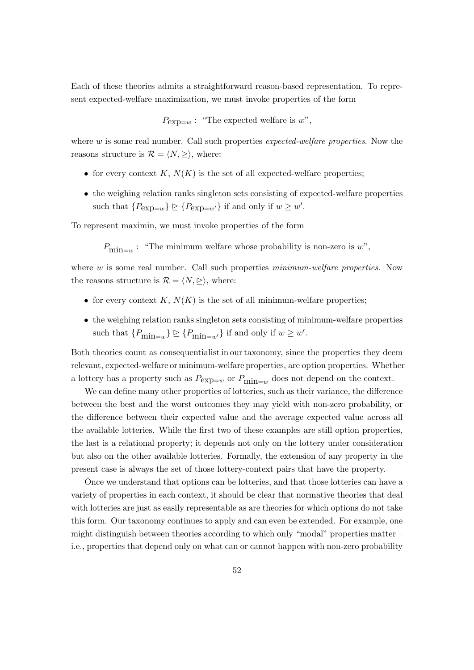Each of these theories admits a straightforward reason-based representation. To represent expected-welfare maximization, we must invoke properties of the form

$$
P_{\exp=w}
$$
: "The expected welfare is  $w$ ",

where w is some real number. Call such properties *expected-welfare properties*. Now the reasons structure is  $\mathcal{R} = \langle N, \geq \rangle$ , where:

- for every context K,  $N(K)$  is the set of all expected-welfare properties;
- the weighing relation ranks singleton sets consisting of expected-welfare properties such that  ${P_{\text{exp}=w}} \ge {P_{\text{exp}=w'}}$  if and only if  $w \ge w'$ .

To represent maximin, we must invoke properties of the form

 $P_{\text{min}=w}$ : "The minimum welfare whose probability is non-zero is w",

where w is some real number. Call such properties *minimum-welfare properties*. Now the reasons structure is  $\mathcal{R} = \langle N, \triangleright \rangle$ , where:

- for every context  $K, N(K)$  is the set of all minimum-welfare properties;
- the weighing relation ranks singleton sets consisting of minimum-welfare properties such that  ${P_{\min=w}} \ge {P_{\min=w'}}$  if and only if  $w \ge w'$ .

Both theories count as consequentialist in our taxonomy, since the properties they deem relevant, expected-welfare or minimum-welfare properties, are option properties. Whether a lottery has a property such as  $P_{\exp=w}$  or  $P_{\min=w}$  does not depend on the context.

We can define many other properties of lotteries, such as their variance, the difference between the best and the worst outcomes they may yield with non-zero probability, or the difference between their expected value and the average expected value across all the available lotteries. While the first two of these examples are still option properties, the last is a relational property; it depends not only on the lottery under consideration but also on the other available lotteries. Formally, the extension of any property in the present case is always the set of those lottery-context pairs that have the property.

Once we understand that options can be lotteries, and that those lotteries can have a variety of properties in each context, it should be clear that normative theories that deal with lotteries are just as easily representable as are theories for which options do not take this form. Our taxonomy continues to apply and can even be extended. For example, one might distinguish between theories according to which only "modal" properties matter – i.e., properties that depend only on what can or cannot happen with non-zero probability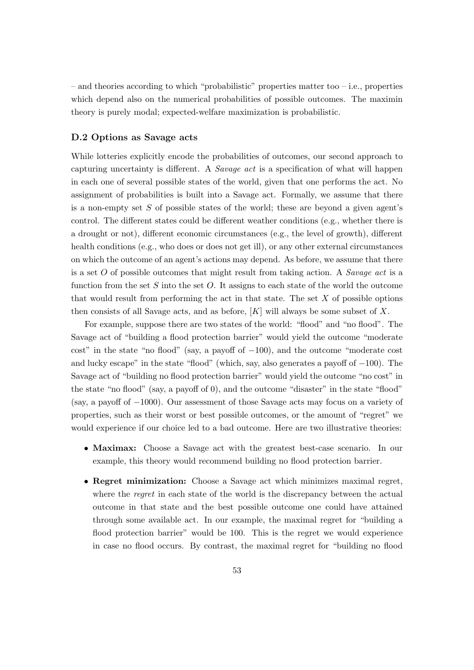– and theories according to which "probabilistic" properties matter too – i.e., properties which depend also on the numerical probabilities of possible outcomes. The maximin theory is purely modal; expected-welfare maximization is probabilistic.

### D.2 Options as Savage acts

While lotteries explicitly encode the probabilities of outcomes, our second approach to capturing uncertainty is different. A *Savage act* is a specification of what will happen in each one of several possible states of the world, given that one performs the act. No assignment of probabilities is built into a Savage act. Formally, we assume that there is a non-empty set  $S$  of possible states of the world; these are beyond a given agent's control. The different states could be different weather conditions (e.g., whether there is a drought or not), different economic circumstances (e.g., the level of growth), different health conditions (e.g., who does or does not get ill), or any other external circumstances on which the outcome of an agent's actions may depend. As before, we assume that there is a set O of possible outcomes that might result from taking action. A *Savage act* is a function from the set  $S$  into the set  $O$ . It assigns to each state of the world the outcome that would result from performing the act in that state. The set  $X$  of possible options then consists of all Savage acts, and as before,  $[K]$  will always be some subset of X.

For example, suppose there are two states of the world: "flood" and "no flood". The Savage act of "building a flood protection barrier" would yield the outcome "moderate cost" in the state "no flood" (say, a payoff of  $-100$ ), and the outcome "moderate cost" and lucky escape" in the state "flood" (which, say, also generates a payoff of  $-100$ ). The Savage act of "building no flood protection barrier" would yield the outcome "no cost" in the state "no flood" (say, a payoff of 0), and the outcome "disaster" in the state "flood" (say, a payoff of  $-1000$ ). Our assessment of those Savage acts may focus on a variety of properties, such as their worst or best possible outcomes, or the amount of "regret" we would experience if our choice led to a bad outcome. Here are two illustrative theories:

- Maximax: Choose a Savage act with the greatest best-case scenario. In our example, this theory would recommend building no flood protection barrier.
- Regret minimization: Choose a Savage act which minimizes maximal regret, where the *regret* in each state of the world is the discrepancy between the actual outcome in that state and the best possible outcome one could have attained through some available act. In our example, the maximal regret for "building a flood protection barrier" would be 100. This is the regret we would experience in case no flood occurs. By contrast, the maximal regret for "building no flood